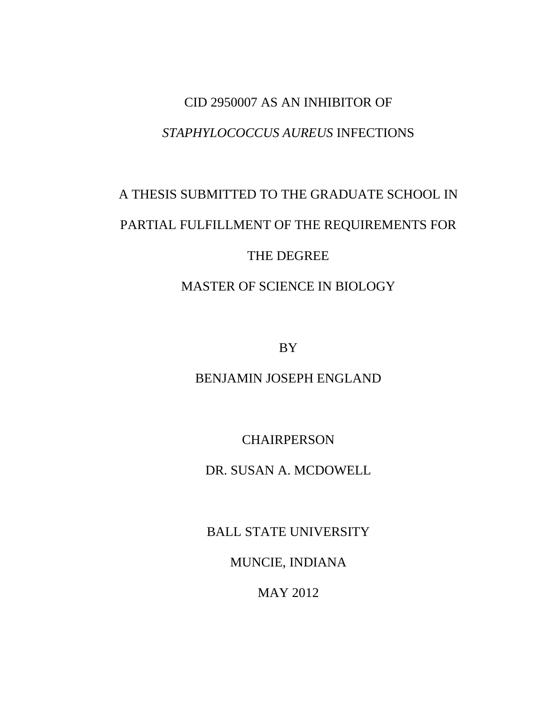## CID 2950007 AS AN INHIBITOR OF *STAPHYLOCOCCUS AUREUS* INFECTIONS

# A THESIS SUBMITTED TO THE GRADUATE SCHOOL IN PARTIAL FULFILLMENT OF THE REQUIREMENTS FOR THE DEGREE

MASTER OF SCIENCE IN BIOLOGY

BY

BENJAMIN JOSEPH ENGLAND

CHAIRPERSON

DR. SUSAN A. MCDOWELL

BALL STATE UNIVERSITY

MUNCIE, INDIANA

MAY 2012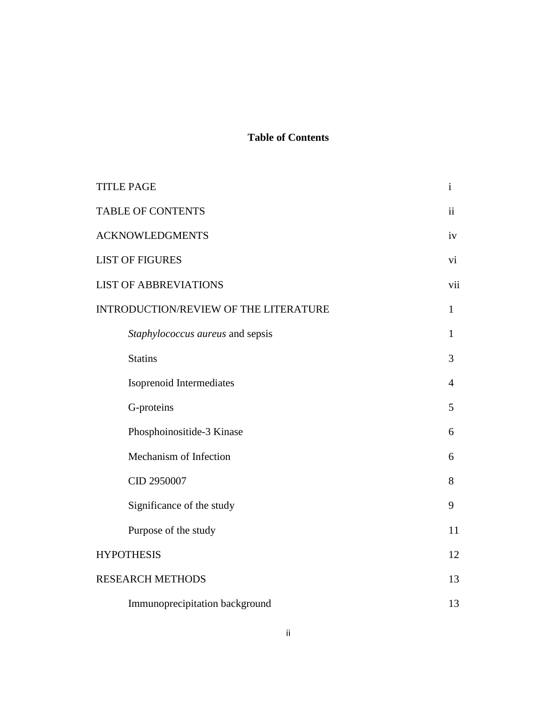#### **Table of Contents**

| <b>TITLE PAGE</b>                     | $\mathbf{i}$   |  |
|---------------------------------------|----------------|--|
| <b>TABLE OF CONTENTS</b>              | $\mathbf{ii}$  |  |
| <b>ACKNOWLEDGMENTS</b>                |                |  |
| <b>LIST OF FIGURES</b>                |                |  |
| <b>LIST OF ABBREVIATIONS</b>          |                |  |
| INTRODUCTION/REVIEW OF THE LITERATURE |                |  |
| Staphylococcus aureus and sepsis      | $\mathbf{1}$   |  |
| <b>Statins</b>                        | 3              |  |
| Isoprenoid Intermediates              | $\overline{4}$ |  |
| G-proteins                            | 5              |  |
| Phosphoinositide-3 Kinase             | 6              |  |
| Mechanism of Infection                | 6              |  |
| CID 2950007                           | 8              |  |
| Significance of the study             | 9              |  |
| Purpose of the study                  | 11             |  |
| <b>HYPOTHESIS</b>                     |                |  |
| <b>RESEARCH METHODS</b>               |                |  |
| Immunoprecipitation background        | 13             |  |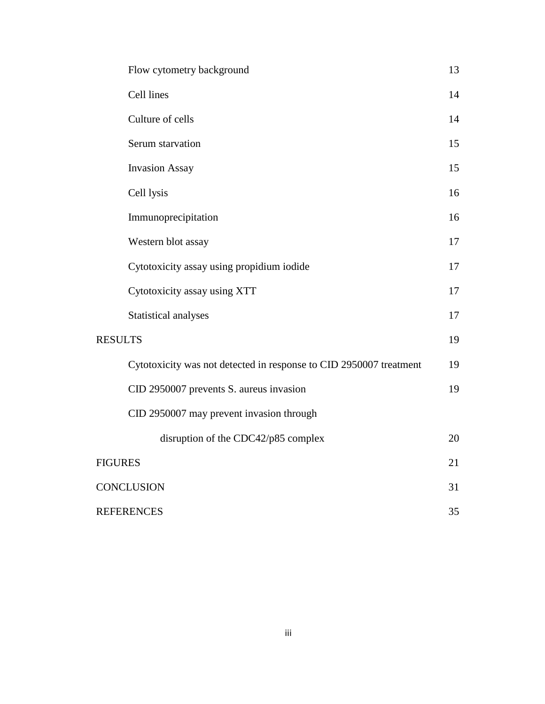|                   | Flow cytometry background                                          | 13 |
|-------------------|--------------------------------------------------------------------|----|
|                   | Cell lines                                                         | 14 |
|                   | Culture of cells                                                   | 14 |
|                   | Serum starvation                                                   | 15 |
|                   | <b>Invasion Assay</b>                                              | 15 |
|                   | Cell lysis                                                         | 16 |
|                   | Immunoprecipitation                                                | 16 |
|                   | Western blot assay                                                 | 17 |
|                   | Cytotoxicity assay using propidium iodide                          | 17 |
|                   | Cytotoxicity assay using XTT                                       | 17 |
|                   | Statistical analyses                                               | 17 |
| <b>RESULTS</b>    |                                                                    |    |
|                   | Cytotoxicity was not detected in response to CID 2950007 treatment | 19 |
|                   | CID 2950007 prevents S. aureus invasion                            | 19 |
|                   | CID 2950007 may prevent invasion through                           |    |
|                   | disruption of the CDC42/p85 complex                                | 20 |
|                   | <b>FIGURES</b>                                                     |    |
| <b>CONCLUSION</b> |                                                                    | 31 |
| <b>REFERENCES</b> |                                                                    | 35 |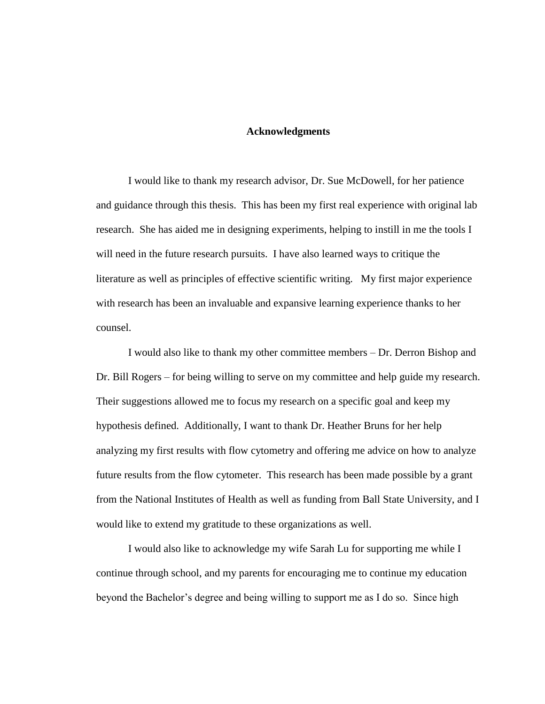#### **Acknowledgments**

I would like to thank my research advisor, Dr. Sue McDowell, for her patience and guidance through this thesis. This has been my first real experience with original lab research. She has aided me in designing experiments, helping to instill in me the tools I will need in the future research pursuits. I have also learned ways to critique the literature as well as principles of effective scientific writing. My first major experience with research has been an invaluable and expansive learning experience thanks to her counsel.

I would also like to thank my other committee members – Dr. Derron Bishop and Dr. Bill Rogers – for being willing to serve on my committee and help guide my research. Their suggestions allowed me to focus my research on a specific goal and keep my hypothesis defined. Additionally, I want to thank Dr. Heather Bruns for her help analyzing my first results with flow cytometry and offering me advice on how to analyze future results from the flow cytometer. This research has been made possible by a grant from the National Institutes of Health as well as funding from Ball State University, and I would like to extend my gratitude to these organizations as well.

I would also like to acknowledge my wife Sarah Lu for supporting me while I continue through school, and my parents for encouraging me to continue my education beyond the Bachelor's degree and being willing to support me as I do so. Since high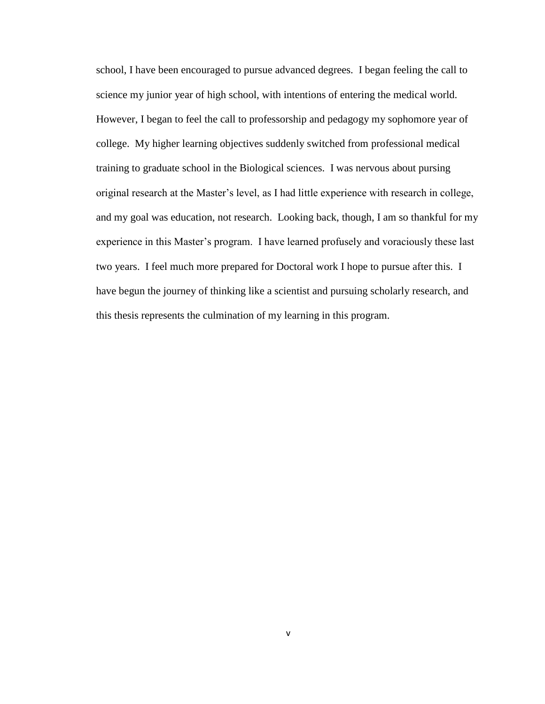school, I have been encouraged to pursue advanced degrees. I began feeling the call to science my junior year of high school, with intentions of entering the medical world. However, I began to feel the call to professorship and pedagogy my sophomore year of college. My higher learning objectives suddenly switched from professional medical training to graduate school in the Biological sciences. I was nervous about pursing original research at the Master's level, as I had little experience with research in college, and my goal was education, not research. Looking back, though, I am so thankful for my experience in this Master's program. I have learned profusely and voraciously these last two years. I feel much more prepared for Doctoral work I hope to pursue after this. I have begun the journey of thinking like a scientist and pursuing scholarly research, and this thesis represents the culmination of my learning in this program.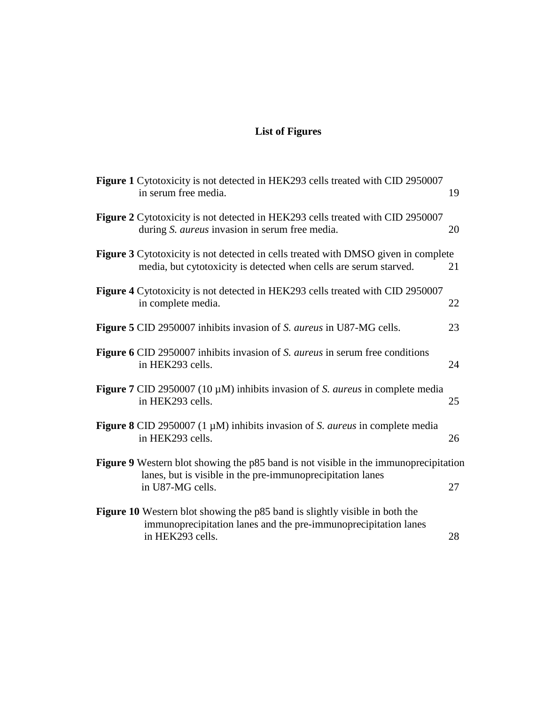## **List of Figures**

| <b>Figure 1</b> Cytotoxicity is not detected in HEK293 cells treated with CID 2950007<br>in serum free media.                                                                 | 19 |
|-------------------------------------------------------------------------------------------------------------------------------------------------------------------------------|----|
| <b>Figure 2</b> Cytotoxicity is not detected in HEK293 cells treated with CID 2950007<br>during S. aureus invasion in serum free media.                                       | 20 |
| <b>Figure 3</b> Cytotoxicity is not detected in cells treated with DMSO given in complete<br>media, but cytotoxicity is detected when cells are serum starved.                | 21 |
| <b>Figure 4</b> Cytotoxicity is not detected in HEK293 cells treated with CID 2950007<br>in complete media.                                                                   | 22 |
| <b>Figure 5 CID 2950007 inhibits invasion of S. <i>aureus</i> in U87-MG cells.</b>                                                                                            | 23 |
| <b>Figure 6 CID 2950007 inhibits invasion of S. <i>aureus</i> in serum free conditions</b><br>in HEK293 cells.                                                                | 24 |
| <b>Figure 7</b> CID 2950007 (10 $\mu$ M) inhibits invasion of <i>S. aureus</i> in complete media<br>in HEK293 cells.                                                          | 25 |
| <b>Figure 8</b> CID 2950007 (1 $\mu$ M) inhibits invasion of <i>S. aureus</i> in complete media<br>in HEK293 cells.                                                           | 26 |
| <b>Figure 9</b> Western blot showing the p85 band is not visible in the immunoprecipitation<br>lanes, but is visible in the pre-immunoprecipitation lanes<br>in U87-MG cells. | 27 |
| <b>Figure 10</b> Western blot showing the p85 band is slightly visible in both the<br>immunoprecipitation lanes and the pre-immunoprecipitation lanes<br>in HEK293 cells.     | 28 |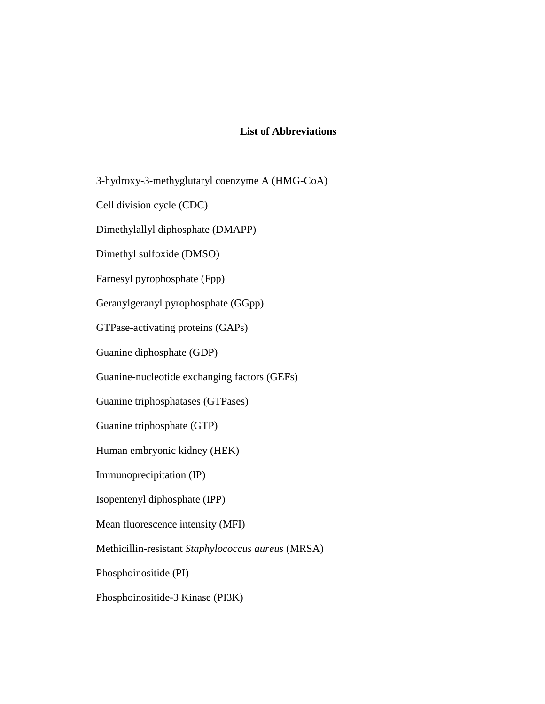#### **List of Abbreviations**

3-hydroxy-3-methyglutaryl coenzyme A (HMG-CoA)

Cell division cycle (CDC)

Dimethylallyl diphosphate (DMAPP)

Dimethyl sulfoxide (DMSO)

Farnesyl pyrophosphate (Fpp)

Geranylgeranyl pyrophosphate (GGpp)

GTPase-activating proteins (GAPs)

Guanine diphosphate (GDP)

Guanine-nucleotide exchanging factors (GEFs)

Guanine triphosphatases (GTPases)

Guanine triphosphate (GTP)

Human embryonic kidney (HEK)

Immunoprecipitation (IP)

Isopentenyl diphosphate (IPP)

Mean fluorescence intensity (MFI)

Methicillin-resistant *Staphylococcus aureus* (MRSA)

Phosphoinositide (PI)

Phosphoinositide-3 Kinase (PI3K)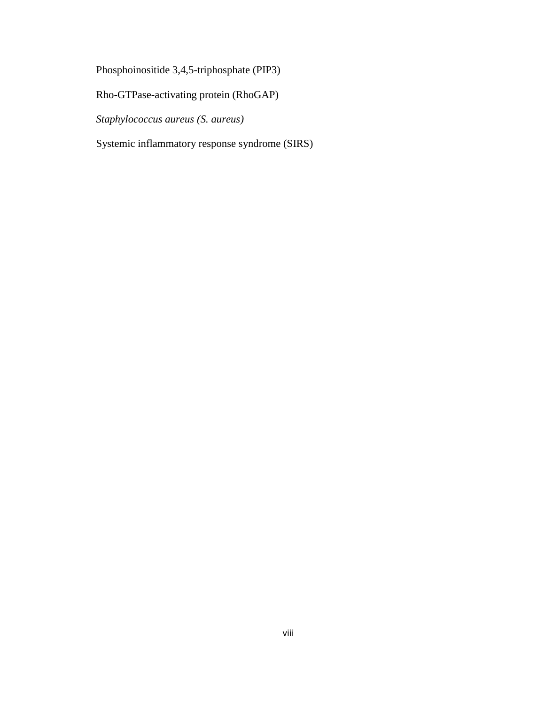Phosphoinositide 3,4,5-triphosphate (PIP3)

Rho-GTPase-activating protein (RhoGAP)

*Staphylococcus aureus (S. aureus)*

Systemic inflammatory response syndrome (SIRS)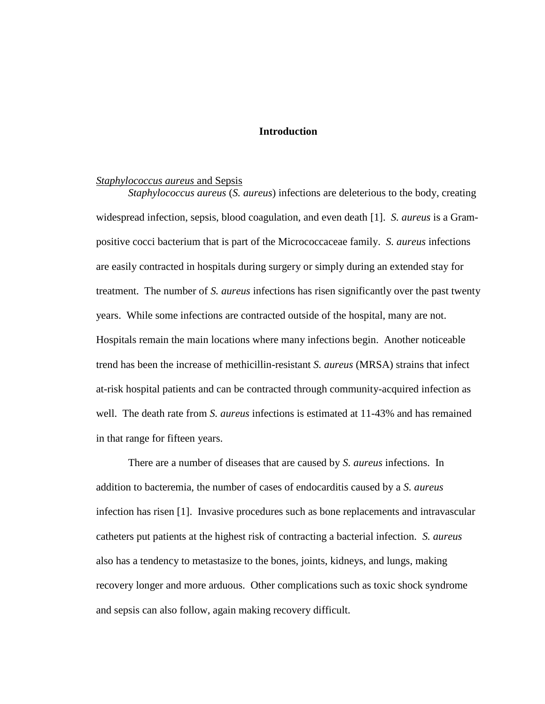#### **Introduction**

#### *Staphylococcus aureus* and Sepsis

*Staphylococcus aureus* (*S. aureus*) infections are deleterious to the body, creating widespread infection, sepsis, blood coagulation, and even death [\[1\]](#page-42-0). *S. aureus* is a Grampositive cocci bacterium that is part of the Micrococcaceae family. *S. aureus* infections are easily contracted in hospitals during surgery or simply during an extended stay for treatment. The number of *S. aureus* infections has risen significantly over the past twenty years. While some infections are contracted outside of the hospital, many are not. Hospitals remain the main locations where many infections begin. Another noticeable trend has been the increase of methicillin-resistant *S. aureus* (MRSA) strains that infect at-risk hospital patients and can be contracted through community-acquired infection as well. The death rate from *S. aureus* infections is estimated at 11-43% and has remained in that range for fifteen years.

There are a number of diseases that are caused by *S. aureus* infections. In addition to bacteremia, the number of cases of endocarditis caused by a *S. aureus* infection has risen [\[1\]](#page-42-0). Invasive procedures such as bone replacements and intravascular catheters put patients at the highest risk of contracting a bacterial infection. *S. aureus* also has a tendency to metastasize to the bones, joints, kidneys, and lungs, making recovery longer and more arduous. Other complications such as toxic shock syndrome and sepsis can also follow, again making recovery difficult.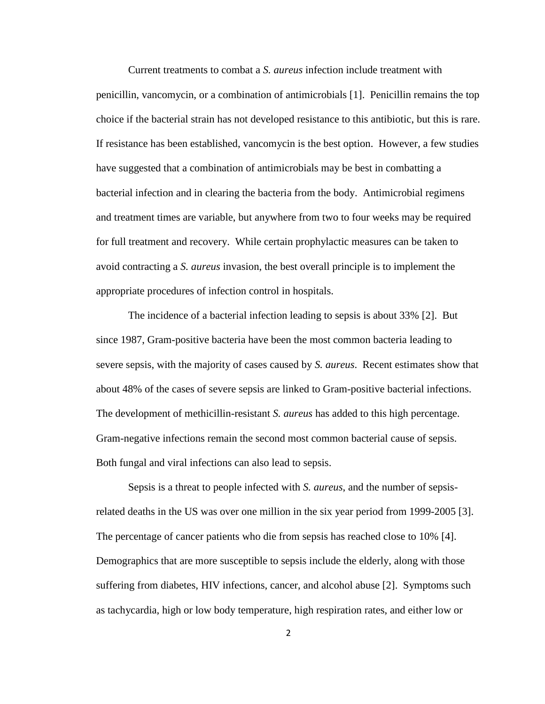Current treatments to combat a *S. aureus* infection include treatment with penicillin, vancomycin, or a combination of antimicrobials [\[1\]](#page-42-0). Penicillin remains the top choice if the bacterial strain has not developed resistance to this antibiotic, but this is rare. If resistance has been established, vancomycin is the best option. However, a few studies have suggested that a combination of antimicrobials may be best in combatting a bacterial infection and in clearing the bacteria from the body. Antimicrobial regimens and treatment times are variable, but anywhere from two to four weeks may be required for full treatment and recovery. While certain prophylactic measures can be taken to avoid contracting a *S. aureus* invasion, the best overall principle is to implement the appropriate procedures of infection control in hospitals.

The incidence of a bacterial infection leading to sepsis is about 33% [\[2\]](#page-42-1). But since 1987, Gram-positive bacteria have been the most common bacteria leading to severe sepsis, with the majority of cases caused by *S. aureus*. Recent estimates show that about 48% of the cases of severe sepsis are linked to Gram-positive bacterial infections. The development of methicillin-resistant *S. aureus* has added to this high percentage. Gram-negative infections remain the second most common bacterial cause of sepsis. Both fungal and viral infections can also lead to sepsis.

Sepsis is a threat to people infected with *S. aureus*, and the number of sepsisrelated deaths in the US was over one million in the six year period from 1999-2005 [\[3\]](#page-42-2). The percentage of cancer patients who die from sepsis has reached close to 10% [\[4\]](#page-42-3). Demographics that are more susceptible to sepsis include the elderly, along with those suffering from diabetes, HIV infections, cancer, and alcohol abuse [\[2\]](#page-42-1). Symptoms such as tachycardia, high or low body temperature, high respiration rates, and either low or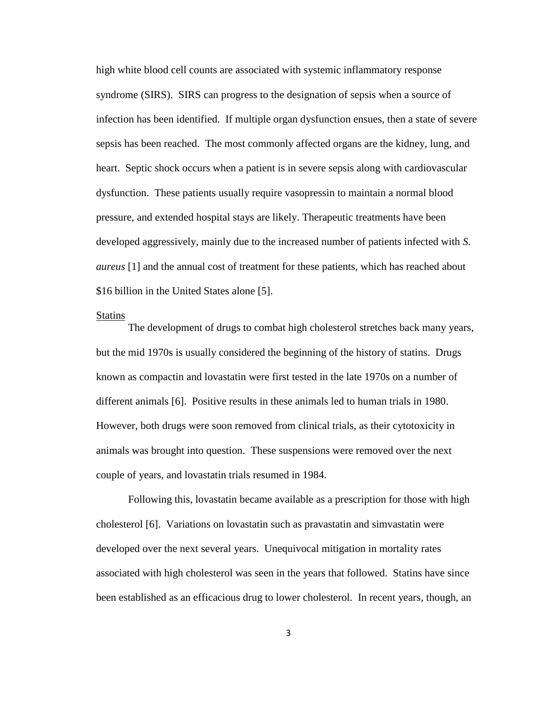high white blood cell counts are associated with systemic inflammatory response syndrome (SIRS). SIRS can progress to the designation of sepsis when a source of infection has been identified. If multiple organ dysfunction ensues, then a state of severe sepsis has been reached. The most commonly affected organs are the kidney, lung, and heart. Septic shock occurs when a patient is in severe sepsis along with cardiovascular dysfunction. These patients usually require vasopressin to maintain a normal blood pressure, and extended hospital stays are likely. Therapeutic treatments have been developed aggressively, mainly due to the increased number of patients infected with *S. aureus* [\[1\]](#page-42-0) and the annual cost of treatment for these patients, which has reached about \$16 billion in the United States alone [\[5\]](#page-42-4).

#### **Statins**

The development of drugs to combat high cholesterol stretches back many years, but the mid 1970s is usually considered the beginning of the history of statins. Drugs known as compactin and lovastatin were first tested in the late 1970s on a number of different animals [\[6\]](#page-42-5). Positive results in these animals led to human trials in 1980. However, both drugs were soon removed from clinical trials, as their cytotoxicity in animals was brought into question. These suspensions were removed over the next couple of years, and lovastatin trials resumed in 1984.

Following this, lovastatin became available as a prescription for those with high cholesterol [\[6\]](#page-42-5). Variations on lovastatin such as pravastatin and simvastatin were developed over the next several years. Unequivocal mitigation in mortality rates associated with high cholesterol was seen in the years that followed. Statins have since been established as an efficacious drug to lower cholesterol. In recent years, though, an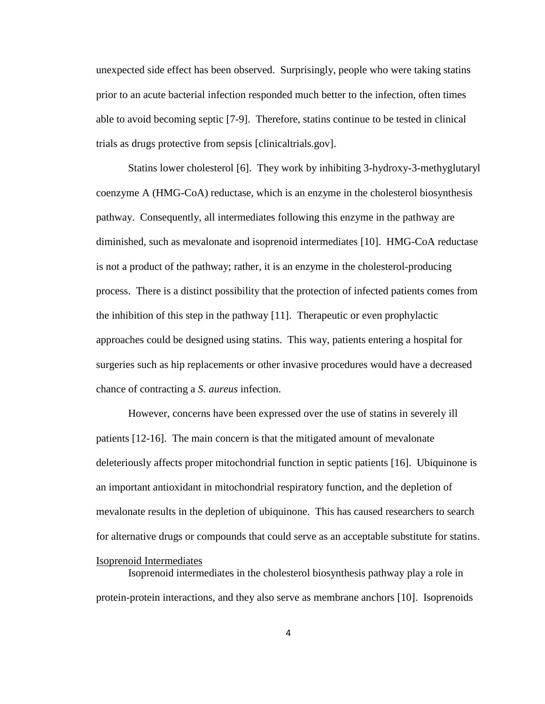unexpected side effect has been observed. Surprisingly, people who were taking statins prior to an acute bacterial infection responded much better to the infection, often times able to avoid becoming septic [\[7-9\]](#page-42-6). Therefore, statins continue to be tested in clinical trials as drugs protective from sepsis [clinicaltrials.gov].

Statins lower cholesterol [\[6\]](#page-42-5). They work by inhibiting 3-hydroxy-3-methyglutaryl coenzyme A (HMG-CoA) reductase, which is an enzyme in the cholesterol biosynthesis pathway. Consequently, all intermediates following this enzyme in the pathway are diminished, such as mevalonate and isoprenoid intermediates [\[10\]](#page-43-0). HMG-CoA reductase is not a product of the pathway; rather, it is an enzyme in the cholesterol-producing process. There is a distinct possibility that the protection of infected patients comes from the inhibition of this step in the pathway [\[11\]](#page-43-1). Therapeutic or even prophylactic approaches could be designed using statins. This way, patients entering a hospital for surgeries such as hip replacements or other invasive procedures would have a decreased chance of contracting a *S. aureus* infection.

However, concerns have been expressed over the use of statins in severely ill patients [\[12-16\]](#page-43-2). The main concern is that the mitigated amount of mevalonate deleteriously affects proper mitochondrial function in septic patients [\[16\]](#page-43-3). Ubiquinone is an important antioxidant in mitochondrial respiratory function, and the depletion of mevalonate results in the depletion of ubiquinone. This has caused researchers to search for alternative drugs or compounds that could serve as an acceptable substitute for statins.

#### Isoprenoid Intermediates

Isoprenoid intermediates in the cholesterol biosynthesis pathway play a role in protein-protein interactions, and they also serve as membrane anchors [\[10\]](#page-43-0). Isoprenoids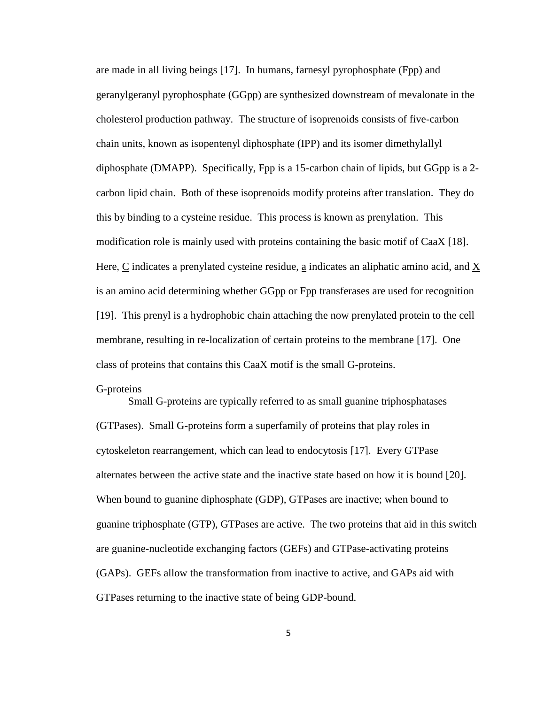are made in all living beings [\[17\]](#page-43-4). In humans, farnesyl pyrophosphate (Fpp) and geranylgeranyl pyrophosphate (GGpp) are synthesized downstream of mevalonate in the cholesterol production pathway. The structure of isoprenoids consists of five-carbon chain units, known as isopentenyl diphosphate (IPP) and its isomer dimethylallyl diphosphate (DMAPP). Specifically, Fpp is a 15-carbon chain of lipids, but GGpp is a 2 carbon lipid chain. Both of these isoprenoids modify proteins after translation. They do this by binding to a cysteine residue. This process is known as prenylation. This modification role is mainly used with proteins containing the basic motif of CaaX [\[18\]](#page-44-0). Here, C indicates a prenylated cysteine residue, a indicates an aliphatic amino acid, and X is an amino acid determining whether GGpp or Fpp transferases are used for recognition [\[19\]](#page-44-1). This prenyl is a hydrophobic chain attaching the now prenylated protein to the cell membrane, resulting in re-localization of certain proteins to the membrane [\[17\]](#page-43-4). One class of proteins that contains this CaaX motif is the small G-proteins.

#### G-proteins

Small G-proteins are typically referred to as small guanine triphosphatases (GTPases). Small G-proteins form a superfamily of proteins that play roles in cytoskeleton rearrangement, which can lead to endocytosis [\[17\]](#page-43-4). Every GTPase alternates between the active state and the inactive state based on how it is bound [\[20\]](#page-44-2). When bound to guanine diphosphate (GDP), GTPases are inactive; when bound to guanine triphosphate (GTP), GTPases are active. The two proteins that aid in this switch are guanine-nucleotide exchanging factors (GEFs) and GTPase-activating proteins (GAPs). GEFs allow the transformation from inactive to active, and GAPs aid with GTPases returning to the inactive state of being GDP-bound.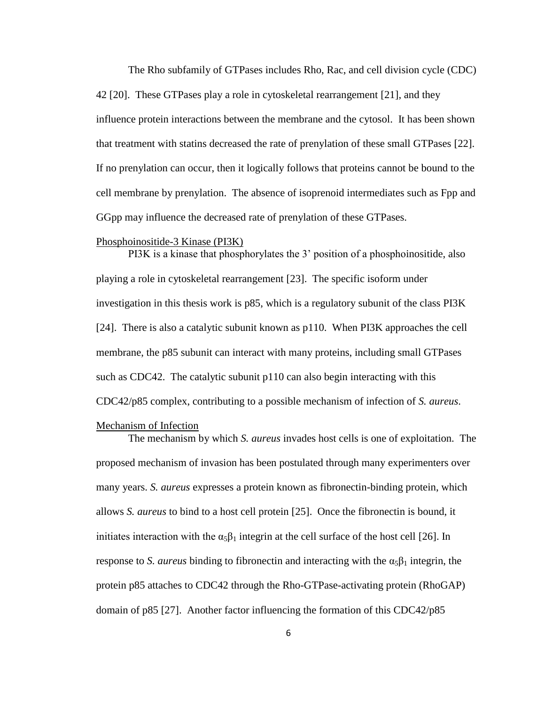The Rho subfamily of GTPases includes Rho, Rac, and cell division cycle (CDC) 42 [\[20\]](#page-44-2). These GTPases play a role in cytoskeletal rearrangement [\[21\]](#page-44-3), and they influence protein interactions between the membrane and the cytosol. It has been shown that treatment with statins decreased the rate of prenylation of these small GTPases [\[22\]](#page-44-4). If no prenylation can occur, then it logically follows that proteins cannot be bound to the cell membrane by prenylation. The absence of isoprenoid intermediates such as Fpp and GGpp may influence the decreased rate of prenylation of these GTPases.

#### Phosphoinositide-3 Kinase (PI3K)

PI3K is a kinase that phosphorylates the 3' position of a phosphoinositide, also playing a role in cytoskeletal rearrangement [\[23\]](#page-44-5). The specific isoform under investigation in this thesis work is p85, which is a regulatory subunit of the class PI3K [\[24\]](#page-44-6). There is also a catalytic subunit known as p110. When PI3K approaches the cell membrane, the p85 subunit can interact with many proteins, including small GTPases such as CDC42. The catalytic subunit p110 can also begin interacting with this CDC42/p85 complex, contributing to a possible mechanism of infection of *S. aureus*.

#### Mechanism of Infection

The mechanism by which *S. aureus* invades host cells is one of exploitation. The proposed mechanism of invasion has been postulated through many experimenters over many years. *S. aureus* expresses a protein known as fibronectin-binding protein, which allows *S. aureus* to bind to a host cell protein [\[25\]](#page-44-7). Once the fibronectin is bound, it initiates interaction with the  $\alpha_5\beta_1$  integrin at the cell surface of the host cell [\[26\]](#page-44-8). In response to *S. aureus* binding to fibronectin and interacting with the  $\alpha_5\beta_1$  integrin, the protein p85 attaches to CDC42 through the Rho-GTPase-activating protein (RhoGAP) domain of p85 [\[27\]](#page-45-0). Another factor influencing the formation of this CDC42/p85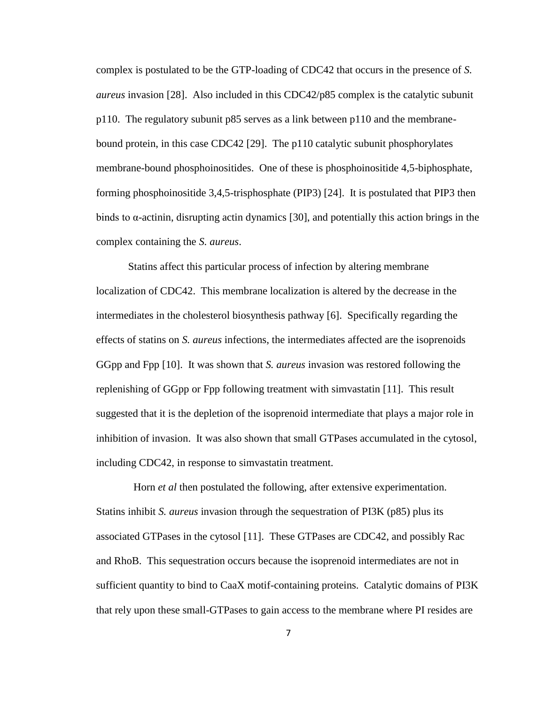complex is postulated to be the GTP-loading of CDC42 that occurs in the presence of *S. aureus* invasion [\[28\]](#page-45-1). Also included in this CDC42/p85 complex is the catalytic subunit p110. The regulatory subunit p85 serves as a link between p110 and the membranebound protein, in this case CDC42 [\[29\]](#page-45-2). The p110 catalytic subunit phosphorylates membrane-bound phosphoinositides. One of these is phosphoinositide 4,5-biphosphate, forming phosphoinositide 3,4,5-trisphosphate (PIP3) [\[24\]](#page-44-6). It is postulated that PIP3 then binds to  $\alpha$ -actinin, disrupting actin dynamics [\[30\]](#page-45-3), and potentially this action brings in the complex containing the *S. aureus*.

Statins affect this particular process of infection by altering membrane localization of CDC42. This membrane localization is altered by the decrease in the intermediates in the cholesterol biosynthesis pathway [\[6\]](#page-42-5). Specifically regarding the effects of statins on *S. aureus* infections, the intermediates affected are the isoprenoids GGpp and Fpp [\[10\]](#page-43-0). It was shown that *S. aureus* invasion was restored following the replenishing of GGpp or Fpp following treatment with simvastatin [\[11\]](#page-43-1). This result suggested that it is the depletion of the isoprenoid intermediate that plays a major role in inhibition of invasion. It was also shown that small GTPases accumulated in the cytosol, including CDC42, in response to simvastatin treatment.

Horn *et al* then postulated the following, after extensive experimentation. Statins inhibit *S. aureus* invasion through the sequestration of PI3K (p85) plus its associated GTPases in the cytosol [\[11\]](#page-43-1). These GTPases are CDC42, and possibly Rac and RhoB. This sequestration occurs because the isoprenoid intermediates are not in sufficient quantity to bind to CaaX motif-containing proteins. Catalytic domains of PI3K that rely upon these small-GTPases to gain access to the membrane where PI resides are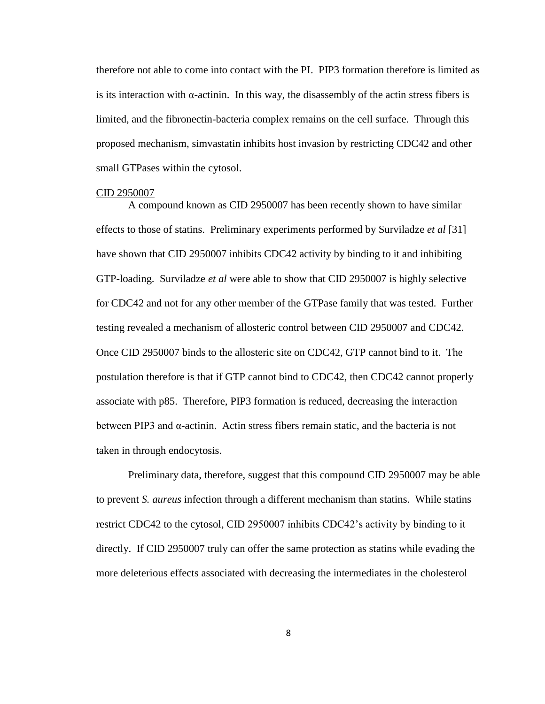therefore not able to come into contact with the PI. PIP3 formation therefore is limited as is its interaction with  $\alpha$ -actinin. In this way, the disassembly of the actin stress fibers is limited, and the fibronectin-bacteria complex remains on the cell surface. Through this proposed mechanism, simvastatin inhibits host invasion by restricting CDC42 and other small GTPases within the cytosol.

#### CID 2950007

A compound known as CID 2950007 has been recently shown to have similar effects to those of statins. Preliminary experiments performed by Surviladze *et al* [\[31\]](#page-45-4) have shown that CID 2950007 inhibits CDC42 activity by binding to it and inhibiting GTP-loading. Surviladze *et al* were able to show that CID 2950007 is highly selective for CDC42 and not for any other member of the GTPase family that was tested. Further testing revealed a mechanism of allosteric control between CID 2950007 and CDC42. Once CID 2950007 binds to the allosteric site on CDC42, GTP cannot bind to it. The postulation therefore is that if GTP cannot bind to CDC42, then CDC42 cannot properly associate with p85. Therefore, PIP3 formation is reduced, decreasing the interaction between PIP3 and  $\alpha$ -actinin. Actin stress fibers remain static, and the bacteria is not taken in through endocytosis.

Preliminary data, therefore, suggest that this compound CID 2950007 may be able to prevent *S. aureus* infection through a different mechanism than statins. While statins restrict CDC42 to the cytosol, CID 2950007 inhibits CDC42's activity by binding to it directly. If CID 2950007 truly can offer the same protection as statins while evading the more deleterious effects associated with decreasing the intermediates in the cholesterol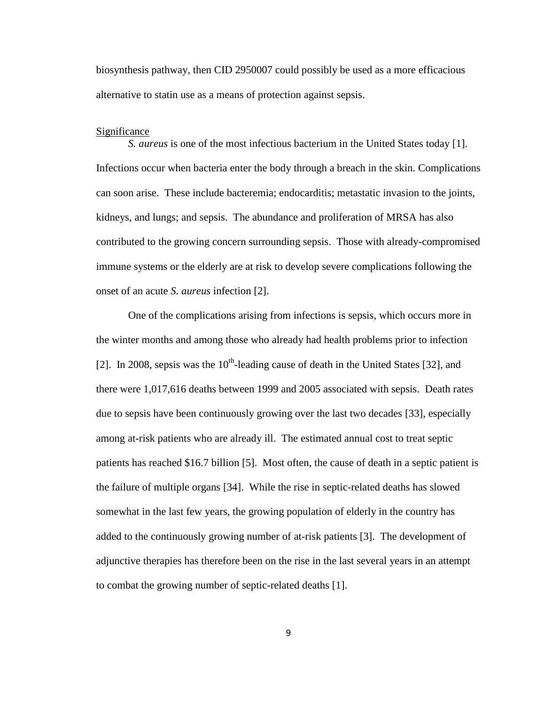biosynthesis pathway, then CID 2950007 could possibly be used as a more efficacious alternative to statin use as a means of protection against sepsis.

#### Significance

*S. aureus* is one of the most infectious bacterium in the United States today [\[1\]](#page-42-0). Infections occur when bacteria enter the body through a breach in the skin. Complications can soon arise. These include bacteremia; endocarditis; metastatic invasion to the joints, kidneys, and lungs; and sepsis. The abundance and proliferation of MRSA has also contributed to the growing concern surrounding sepsis. Those with already-compromised immune systems or the elderly are at risk to develop severe complications following the onset of an acute *S. aureus* infection [\[2\]](#page-42-1).

One of the complications arising from infections is sepsis, which occurs more in the winter months and among those who already had health problems prior to infection [\[2\]](#page-42-1). In 2008, sepsis was the  $10^{th}$ -leading cause of death in the United States [\[32\]](#page-45-5), and there were 1,017,616 deaths between 1999 and 2005 associated with sepsis. Death rates due to sepsis have been continuously growing over the last two decades [\[33\]](#page-45-6), especially among at-risk patients who are already ill. The estimated annual cost to treat septic patients has reached \$16.7 billion [\[5\]](#page-42-4). Most often, the cause of death in a septic patient is the failure of multiple organs [\[34\]](#page-45-7). While the rise in septic-related deaths has slowed somewhat in the last few years, the growing population of elderly in the country has added to the continuously growing number of at-risk patients [\[3\]](#page-42-2). The development of adjunctive therapies has therefore been on the rise in the last several years in an attempt to combat the growing number of septic-related deaths [\[1\]](#page-42-0).

9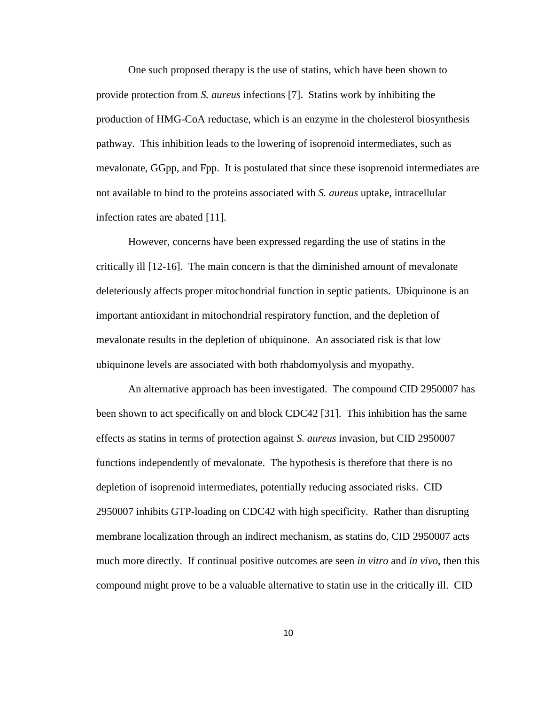One such proposed therapy is the use of statins, which have been shown to provide protection from *S. aureus* infections [\[7\]](#page-42-6). Statins work by inhibiting the production of HMG-CoA reductase, which is an enzyme in the cholesterol biosynthesis pathway. This inhibition leads to the lowering of isoprenoid intermediates, such as mevalonate, GGpp, and Fpp. It is postulated that since these isoprenoid intermediates are not available to bind to the proteins associated with *S. aureus* uptake, intracellular infection rates are abated [\[11\]](#page-43-1).

However, concerns have been expressed regarding the use of statins in the critically ill [\[12-16\]](#page-43-2). The main concern is that the diminished amount of mevalonate deleteriously affects proper mitochondrial function in septic patients. Ubiquinone is an important antioxidant in mitochondrial respiratory function, and the depletion of mevalonate results in the depletion of ubiquinone. An associated risk is that low ubiquinone levels are associated with both rhabdomyolysis and myopathy.

An alternative approach has been investigated. The compound CID 2950007 has been shown to act specifically on and block CDC42 [\[31\]](#page-45-4). This inhibition has the same effects as statins in terms of protection against *S. aureus* invasion, but CID 2950007 functions independently of mevalonate. The hypothesis is therefore that there is no depletion of isoprenoid intermediates, potentially reducing associated risks. CID 2950007 inhibits GTP-loading on CDC42 with high specificity. Rather than disrupting membrane localization through an indirect mechanism, as statins do, CID 2950007 acts much more directly. If continual positive outcomes are seen *in vitro* and *in vivo*, then this compound might prove to be a valuable alternative to statin use in the critically ill. CID

10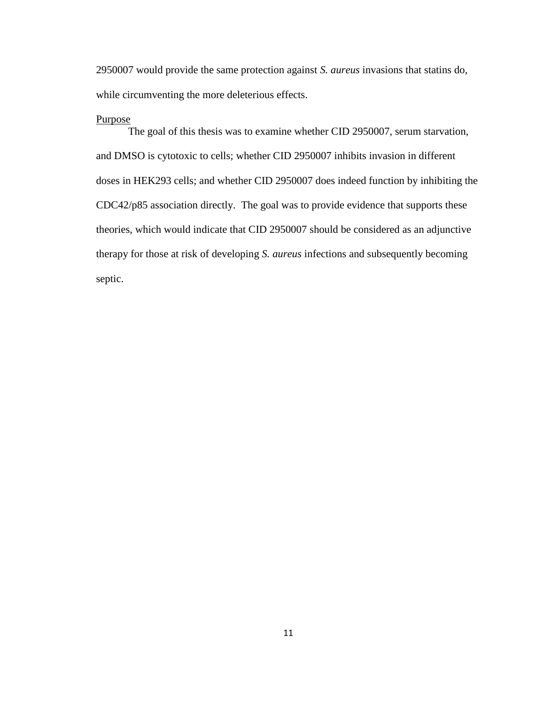2950007 would provide the same protection against *S. aureus* invasions that statins do, while circumventing the more deleterious effects.

#### Purpose

The goal of this thesis was to examine whether CID 2950007, serum starvation, and DMSO is cytotoxic to cells; whether CID 2950007 inhibits invasion in different doses in HEK293 cells; and whether CID 2950007 does indeed function by inhibiting the CDC42/p85 association directly. The goal was to provide evidence that supports these theories, which would indicate that CID 2950007 should be considered as an adjunctive therapy for those at risk of developing *S. aureus* infections and subsequently becoming septic.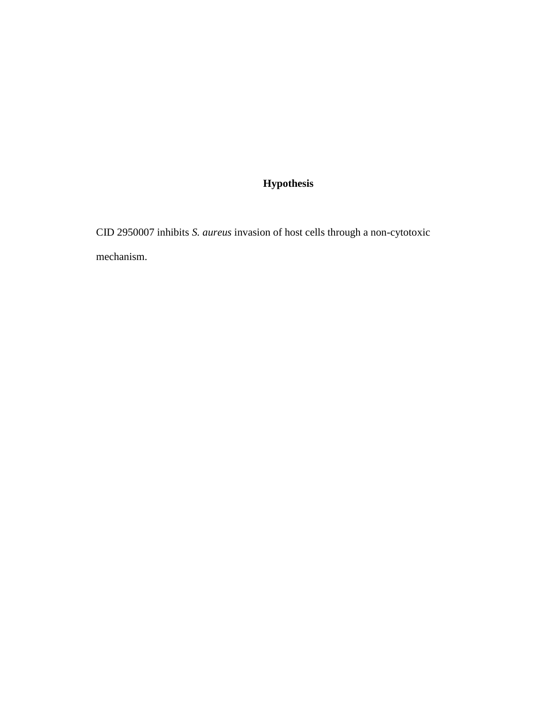### **Hypothesis**

CID 2950007 inhibits *S. aureus* invasion of host cells through a non-cytotoxic mechanism.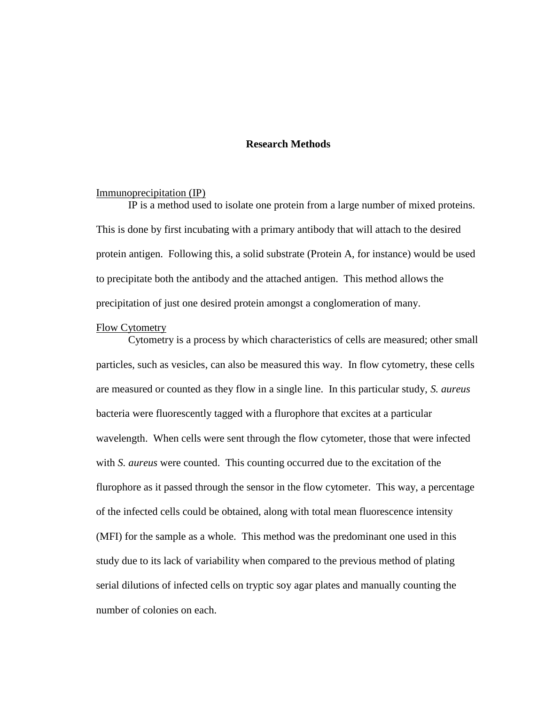#### **Research Methods**

#### Immunoprecipitation (IP)

IP is a method used to isolate one protein from a large number of mixed proteins. This is done by first incubating with a primary antibody that will attach to the desired protein antigen. Following this, a solid substrate (Protein A, for instance) would be used to precipitate both the antibody and the attached antigen. This method allows the precipitation of just one desired protein amongst a conglomeration of many.

#### Flow Cytometry

Cytometry is a process by which characteristics of cells are measured; other small particles, such as vesicles, can also be measured this way. In flow cytometry, these cells are measured or counted as they flow in a single line. In this particular study, *S. aureus*  bacteria were fluorescently tagged with a flurophore that excites at a particular wavelength. When cells were sent through the flow cytometer, those that were infected with *S. aureus* were counted. This counting occurred due to the excitation of the flurophore as it passed through the sensor in the flow cytometer. This way, a percentage of the infected cells could be obtained, along with total mean fluorescence intensity (MFI) for the sample as a whole. This method was the predominant one used in this study due to its lack of variability when compared to the previous method of plating serial dilutions of infected cells on tryptic soy agar plates and manually counting the number of colonies on each.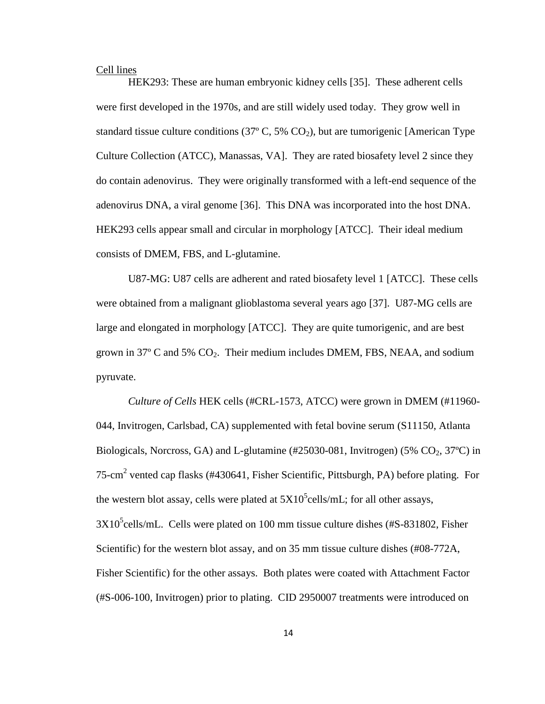#### Cell lines

HEK293: These are human embryonic kidney cells [\[35\]](#page-45-8). These adherent cells were first developed in the 1970s, and are still widely used today. They grow well in standard tissue culture conditions (37 $\degree$  C, 5% CO<sub>2</sub>), but are tumorigenic [American Type Culture Collection (ATCC), Manassas, VA]. They are rated biosafety level 2 since they do contain adenovirus. They were originally transformed with a left-end sequence of the adenovirus DNA, a viral genome [\[36\]](#page-46-0). This DNA was incorporated into the host DNA. HEK293 cells appear small and circular in morphology [ATCC]. Their ideal medium consists of DMEM, FBS, and L-glutamine.

U87-MG: U87 cells are adherent and rated biosafety level 1 [ATCC]. These cells were obtained from a malignant glioblastoma several years ago [\[37\]](#page-46-1). U87-MG cells are large and elongated in morphology [ATCC]. They are quite tumorigenic, and are best grown in 37 $\degree$  C and 5% CO<sub>2</sub>. Their medium includes DMEM, FBS, NEAA, and sodium pyruvate.

*Culture of Cells* HEK cells (#CRL-1573, ATCC) were grown in DMEM (#11960- 044, Invitrogen, Carlsbad, CA) supplemented with fetal bovine serum (S11150, Atlanta Biologicals, Norcross, GA) and L-glutamine  $(\#25030-081, \text{Invitrogen})$  (5% CO<sub>2</sub>, 37<sup>o</sup>C) in 75-cm<sup>2</sup> vented cap flasks (#430641, Fisher Scientific, Pittsburgh, PA) before plating. For the western blot assay, cells were plated at  $5X10^5$ cells/mL; for all other assays,  $3X10<sup>5</sup>$ cells/mL. Cells were plated on 100 mm tissue culture dishes (#S-831802, Fisher Scientific) for the western blot assay, and on 35 mm tissue culture dishes (#08-772A, Fisher Scientific) for the other assays. Both plates were coated with Attachment Factor (#S-006-100, Invitrogen) prior to plating. CID 2950007 treatments were introduced on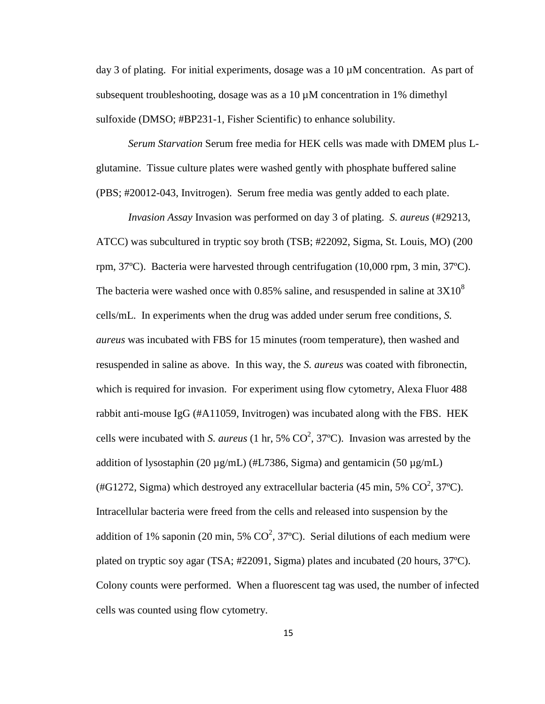day 3 of plating. For initial experiments, dosage was a 10  $\mu$ M concentration. As part of subsequent troubleshooting, dosage was as a 10  $\mu$ M concentration in 1% dimethyl sulfoxide (DMSO; #BP231-1, Fisher Scientific) to enhance solubility.

*Serum Starvation* Serum free media for HEK cells was made with DMEM plus Lglutamine. Tissue culture plates were washed gently with phosphate buffered saline (PBS; #20012-043, Invitrogen). Serum free media was gently added to each plate.

*Invasion Assay* Invasion was performed on day 3 of plating. *S. aureus* (#29213, ATCC) was subcultured in tryptic soy broth (TSB; #22092, Sigma, St. Louis, MO) (200 rpm, 37ºC). Bacteria were harvested through centrifugation (10,000 rpm, 3 min, 37ºC). The bacteria were washed once with 0.85% saline, and resuspended in saline at  $3X10^8$ cells/mL. In experiments when the drug was added under serum free conditions, *S. aureus* was incubated with FBS for 15 minutes (room temperature), then washed and resuspended in saline as above. In this way, the *S. aureus* was coated with fibronectin, which is required for invasion. For experiment using flow cytometry, Alexa Fluor 488 rabbit anti-mouse IgG (#A11059, Invitrogen) was incubated along with the FBS. HEK cells were incubated with *S. aureus* (1 hr, 5%  $CO^2$ , 37°C). Invasion was arrested by the addition of lysostaphin (20  $\mu$ g/mL) (#L7386, Sigma) and gentamicin (50  $\mu$ g/mL) (#G1272, Sigma) which destroyed any extracellular bacteria (45 min, 5%  $CO^2$ , 37°C). Intracellular bacteria were freed from the cells and released into suspension by the addition of 1% saponin (20 min, 5%  $CO^2$ , 37°C). Serial dilutions of each medium were plated on tryptic soy agar (TSA; #22091, Sigma) plates and incubated (20 hours, 37ºC). Colony counts were performed. When a fluorescent tag was used, the number of infected cells was counted using flow cytometry.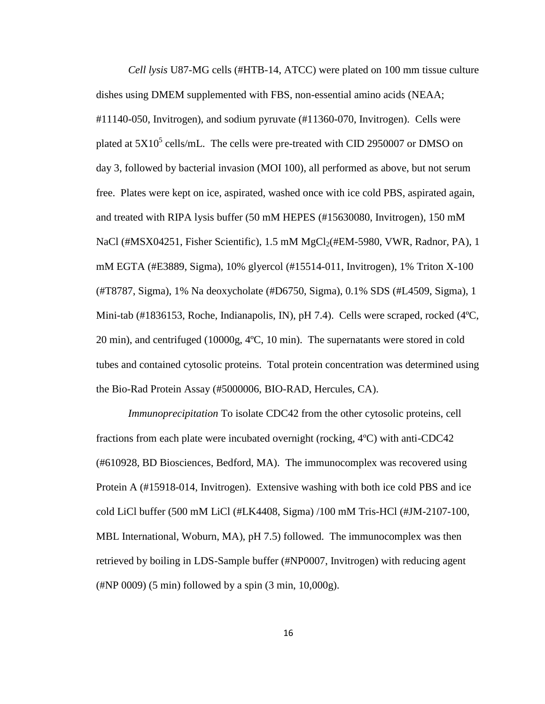*Cell lysis* U87-MG cells (#HTB-14, ATCC) were plated on 100 mm tissue culture dishes using DMEM supplemented with FBS, non-essential amino acids (NEAA; #11140-050, Invitrogen), and sodium pyruvate (#11360-070, Invitrogen). Cells were plated at  $5X10^5$  cells/mL. The cells were pre-treated with CID 2950007 or DMSO on day 3, followed by bacterial invasion (MOI 100), all performed as above, but not serum free. Plates were kept on ice, aspirated, washed once with ice cold PBS, aspirated again, and treated with RIPA lysis buffer (50 mM HEPES (#15630080, Invitrogen), 150 mM NaCl (#MSX04251, Fisher Scientific),  $1.5 \text{ mM } MgCl_2(\text{HEM-5980}, \text{VWR}, \text{Radnor}, \text{PA}), 1$ mM EGTA (#E3889, Sigma), 10% glyercol (#15514-011, Invitrogen), 1% Triton X-100 (#T8787, Sigma), 1% Na deoxycholate (#D6750, Sigma), 0.1% SDS (#L4509, Sigma), 1 Mini-tab (#1836153, Roche, Indianapolis, IN), pH 7.4). Cells were scraped, rocked (4ºC, 20 min), and centrifuged (10000g, 4ºC, 10 min). The supernatants were stored in cold tubes and contained cytosolic proteins. Total protein concentration was determined using the Bio-Rad Protein Assay (#5000006, BIO-RAD, Hercules, CA).

*Immunoprecipitation* To isolate CDC42 from the other cytosolic proteins, cell fractions from each plate were incubated overnight (rocking, 4ºC) with anti-CDC42 (#610928, BD Biosciences, Bedford, MA). The immunocomplex was recovered using Protein A (#15918-014, Invitrogen). Extensive washing with both ice cold PBS and ice cold LiCl buffer (500 mM LiCl (#LK4408, Sigma) /100 mM Tris-HCl (#JM-2107-100, MBL International, Woburn, MA), pH 7.5) followed. The immunocomplex was then retrieved by boiling in LDS-Sample buffer (#NP0007, Invitrogen) with reducing agent (#NP 0009) (5 min) followed by a spin (3 min, 10,000g).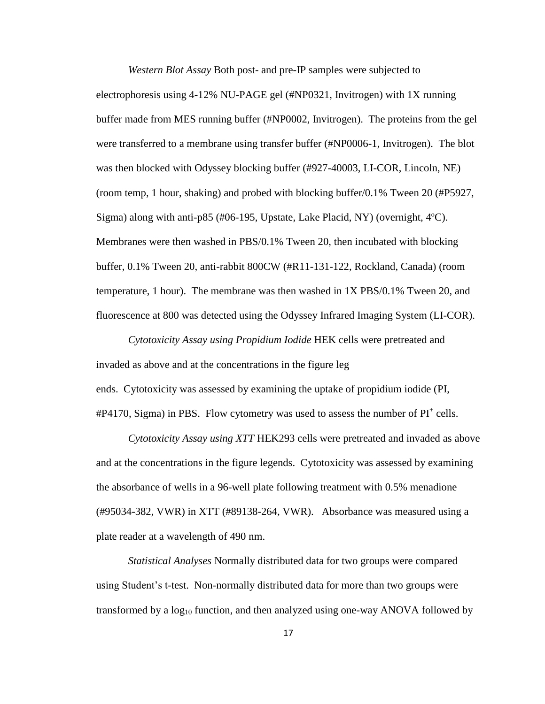*Western Blot Assay* Both post- and pre-IP samples were subjected to electrophoresis using 4-12% NU-PAGE gel (#NP0321, Invitrogen) with 1X running buffer made from MES running buffer (#NP0002, Invitrogen). The proteins from the gel were transferred to a membrane using transfer buffer (#NP0006-1, Invitrogen). The blot was then blocked with Odyssey blocking buffer (#927-40003, LI-COR, Lincoln, NE) (room temp, 1 hour, shaking) and probed with blocking buffer/0.1% Tween 20 (#P5927, Sigma) along with anti-p85 (#06-195, Upstate, Lake Placid, NY) (overnight, 4ºC). Membranes were then washed in PBS/0.1% Tween 20, then incubated with blocking buffer, 0.1% Tween 20, anti-rabbit 800CW (#R11-131-122, Rockland, Canada) (room temperature, 1 hour). The membrane was then washed in 1X PBS/0.1% Tween 20, and fluorescence at 800 was detected using the Odyssey Infrared Imaging System (LI-COR).

*Cytotoxicity Assay using Propidium Iodide* HEK cells were pretreated and invaded as above and at the concentrations in the figure leg ends. Cytotoxicity was assessed by examining the uptake of propidium iodide (PI,  $#P4170$ , Sigma) in PBS. Flow cytometry was used to assess the number of  $PI^+$  cells.

*Cytotoxicity Assay using XTT* HEK293 cells were pretreated and invaded as above and at the concentrations in the figure legends. Cytotoxicity was assessed by examining the absorbance of wells in a 96-well plate following treatment with 0.5% menadione (#95034-382, VWR) in XTT (#89138-264, VWR). Absorbance was measured using a plate reader at a wavelength of 490 nm.

*Statistical Analyses* Normally distributed data for two groups were compared using Student's t-test. Non-normally distributed data for more than two groups were transformed by a  $log_{10}$  function, and then analyzed using one-way ANOVA followed by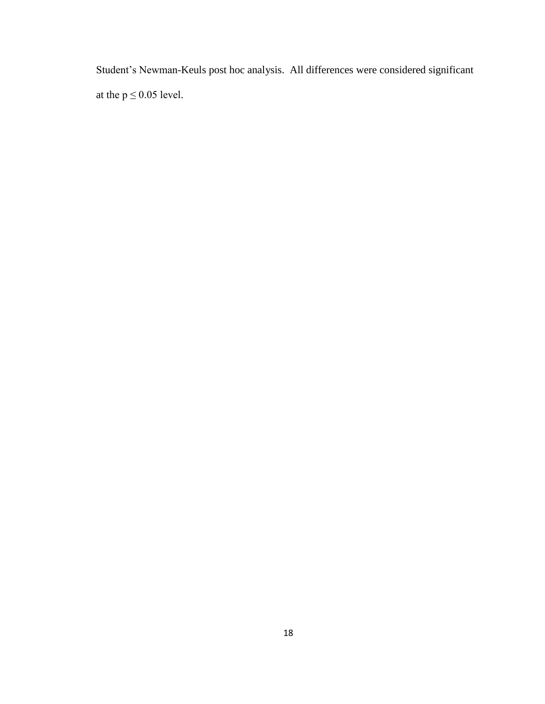Student's Newman-Keuls post hoc analysis. All differences were considered significant at the  $p \le 0.05$  level.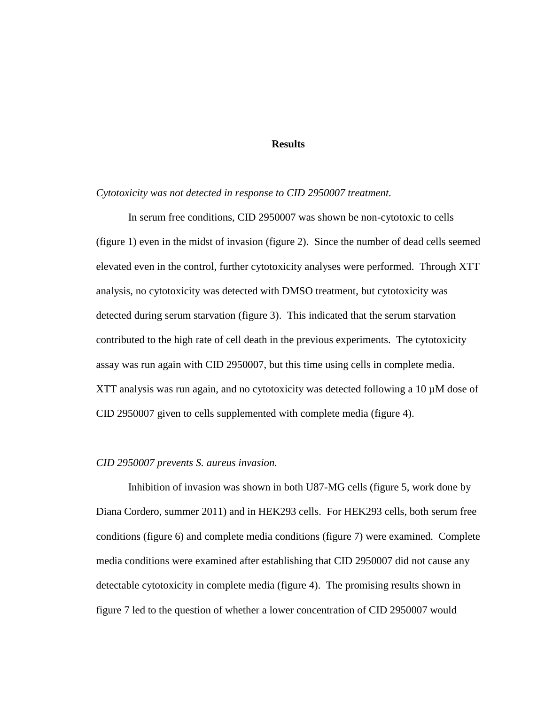#### **Results**

#### *Cytotoxicity was not detected in response to CID 2950007 treatment.*

In serum free conditions, CID 2950007 was shown be non-cytotoxic to cells (figure 1) even in the midst of invasion (figure 2). Since the number of dead cells seemed elevated even in the control, further cytotoxicity analyses were performed. Through XTT analysis, no cytotoxicity was detected with DMSO treatment, but cytotoxicity was detected during serum starvation (figure 3). This indicated that the serum starvation contributed to the high rate of cell death in the previous experiments. The cytotoxicity assay was run again with CID 2950007, but this time using cells in complete media. XTT analysis was run again, and no cytotoxicity was detected following a 10  $\mu$ M dose of CID 2950007 given to cells supplemented with complete media (figure 4).

#### *CID 2950007 prevents S. aureus invasion.*

Inhibition of invasion was shown in both U87-MG cells (figure 5, work done by Diana Cordero, summer 2011) and in HEK293 cells. For HEK293 cells, both serum free conditions (figure 6) and complete media conditions (figure 7) were examined. Complete media conditions were examined after establishing that CID 2950007 did not cause any detectable cytotoxicity in complete media (figure 4). The promising results shown in figure 7 led to the question of whether a lower concentration of CID 2950007 would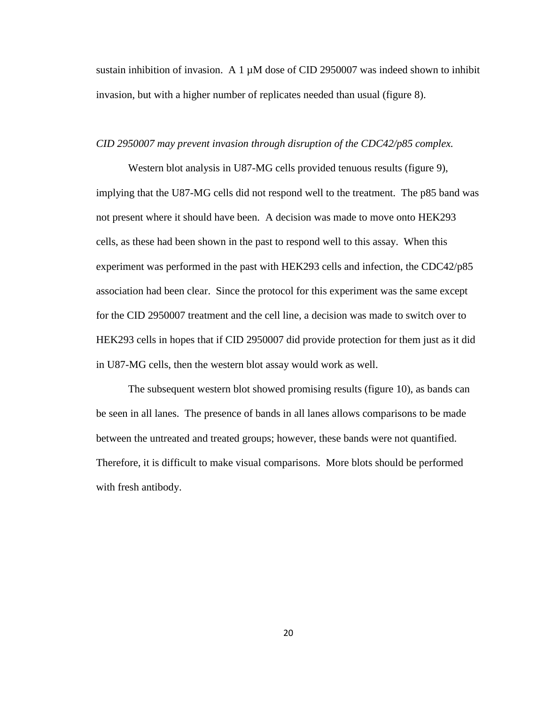sustain inhibition of invasion. A 1  $\mu$ M dose of CID 2950007 was indeed shown to inhibit invasion, but with a higher number of replicates needed than usual (figure 8).

#### *CID 2950007 may prevent invasion through disruption of the CDC42/p85 complex.*

Western blot analysis in U87-MG cells provided tenuous results (figure 9), implying that the U87-MG cells did not respond well to the treatment. The p85 band was not present where it should have been. A decision was made to move onto HEK293 cells, as these had been shown in the past to respond well to this assay. When this experiment was performed in the past with HEK293 cells and infection, the CDC42/p85 association had been clear. Since the protocol for this experiment was the same except for the CID 2950007 treatment and the cell line, a decision was made to switch over to HEK293 cells in hopes that if CID 2950007 did provide protection for them just as it did in U87-MG cells, then the western blot assay would work as well.

The subsequent western blot showed promising results (figure 10), as bands can be seen in all lanes. The presence of bands in all lanes allows comparisons to be made between the untreated and treated groups; however, these bands were not quantified. Therefore, it is difficult to make visual comparisons. More blots should be performed with fresh antibody.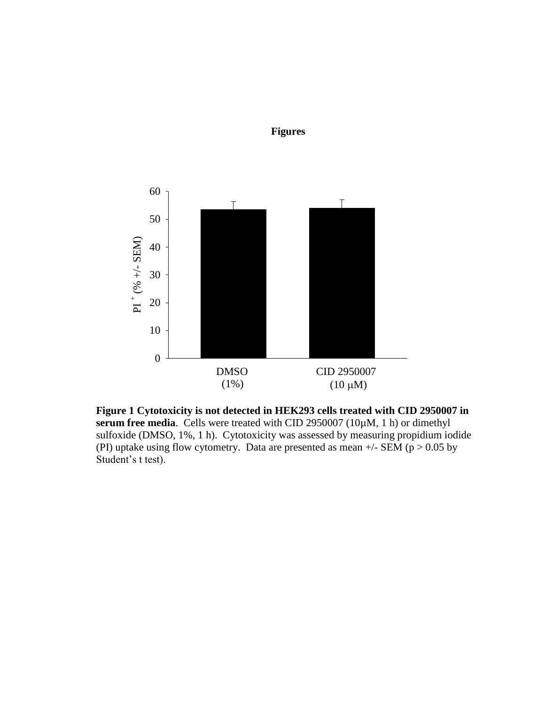

**Figures**

**Figure 1 Cytotoxicity is not detected in HEK293 cells treated with CID 2950007 in serum free media**. Cells were treated with CID 2950007 (10µM, 1 h) or dimethyl sulfoxide (DMSO, 1%, 1 h). Cytotoxicity was assessed by measuring propidium iodide (PI) uptake using flow cytometry. Data are presented as mean  $+/-$  SEM (p  $> 0.05$  by Student's t test).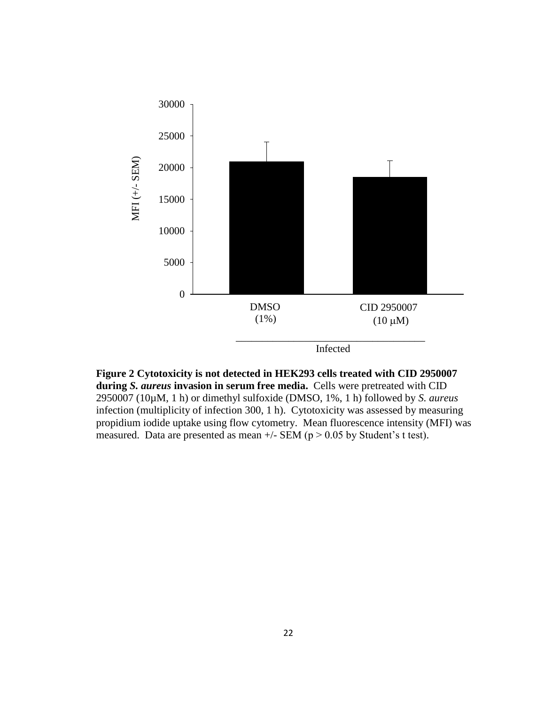

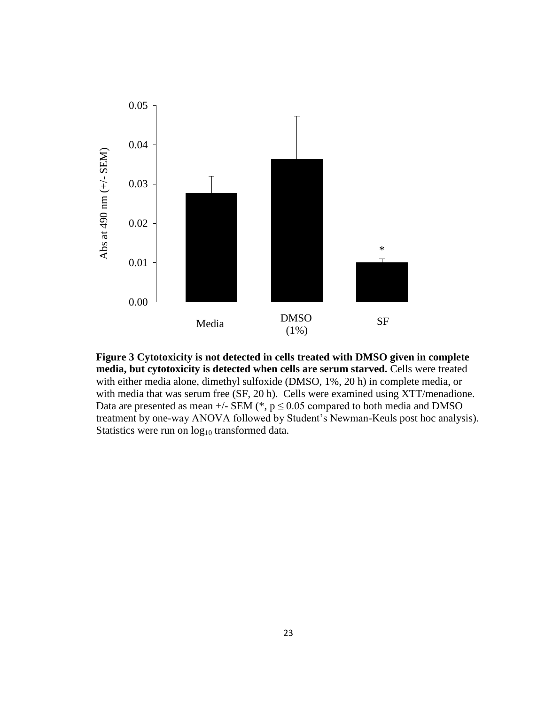

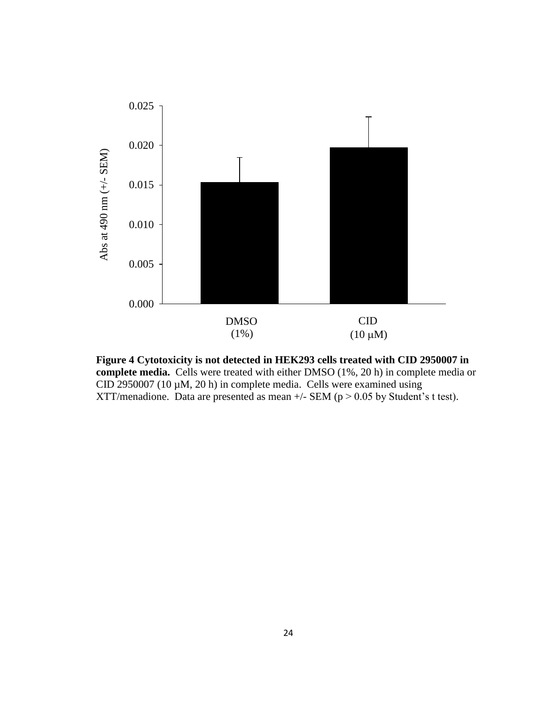

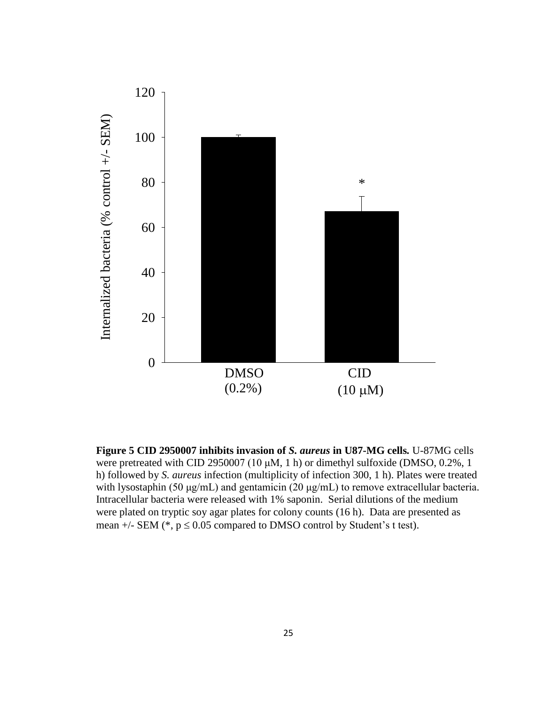

**Figure 5 CID 2950007 inhibits invasion of** *S. aureus* **in U87-MG cells***.* U-87MG cells were pretreated with CID 2950007 (10 μM, 1 h) or dimethyl sulfoxide (DMSO, 0.2%, 1 h) followed by *S. aureus* infection (multiplicity of infection 300, 1 h). Plates were treated with lysostaphin (50 μg/mL) and gentamicin (20 μg/mL) to remove extracellular bacteria. Intracellular bacteria were released with 1% saponin. Serial dilutions of the medium were plated on tryptic soy agar plates for colony counts (16 h). Data are presented as mean  $+/-$  SEM ( $*, p \le 0.05$  compared to DMSO control by Student's t test).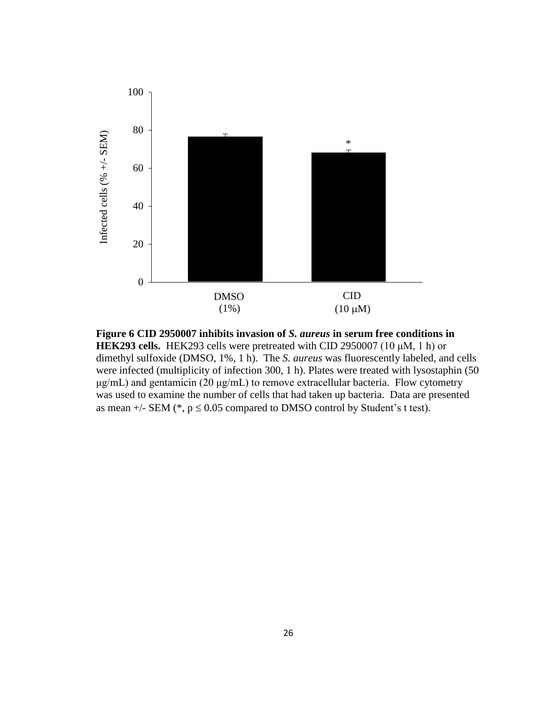

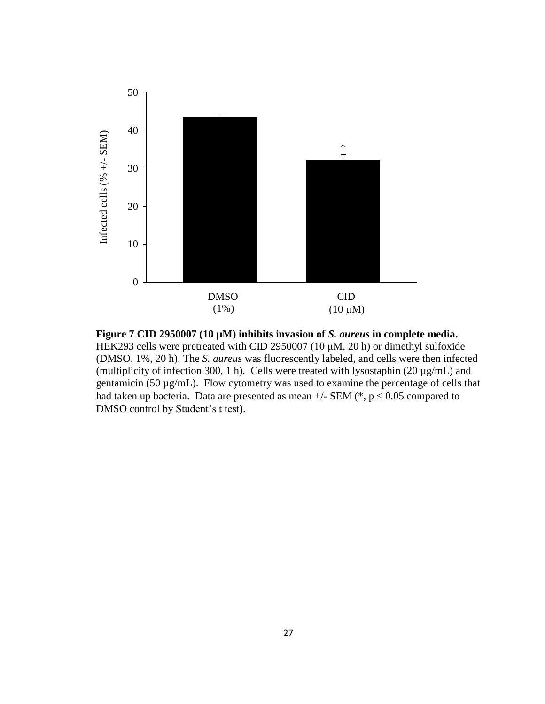

**Figure 7 CID 2950007 (10 µM) inhibits invasion of** *S. aureus* **in complete media.**  HEK293 cells were pretreated with CID 2950007 (10 μM, 20 h) or dimethyl sulfoxide (DMSO, 1%, 20 h). The *S. aureus* was fluorescently labeled, and cells were then infected (multiplicity of infection 300, 1 h). Cells were treated with lysostaphin (20 µg/mL) and gentamicin (50 µg/mL). Flow cytometry was used to examine the percentage of cells that had taken up bacteria. Data are presented as mean  $+/-$  SEM (\*, p  $\leq 0.05$  compared to DMSO control by Student's t test).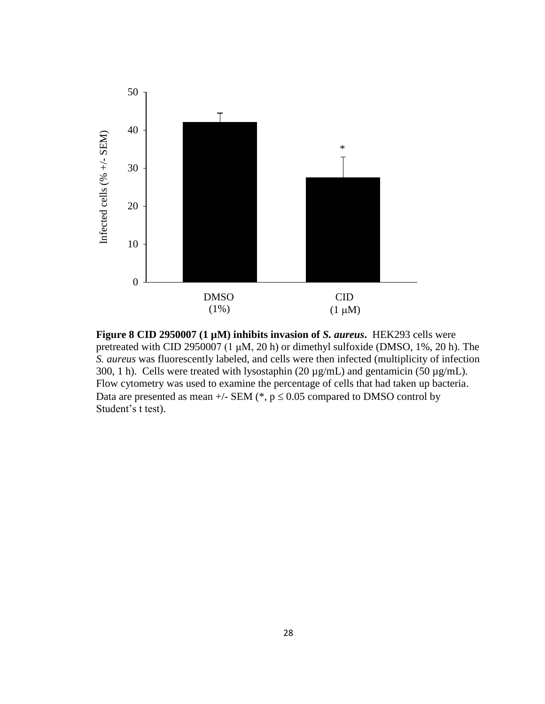

**Figure 8 CID 2950007 (1 µM) inhibits invasion of** *S. aureus***.** HEK293 cells were pretreated with CID 2950007 (1 μM, 20 h) or dimethyl sulfoxide (DMSO, 1%, 20 h). The *S. aureus* was fluorescently labeled, and cells were then infected (multiplicity of infection 300, 1 h). Cells were treated with lysostaphin (20 µg/mL) and gentamicin (50 µg/mL). Flow cytometry was used to examine the percentage of cells that had taken up bacteria. Data are presented as mean  $+/-$  SEM (\*,  $p \le 0.05$  compared to DMSO control by Student's t test).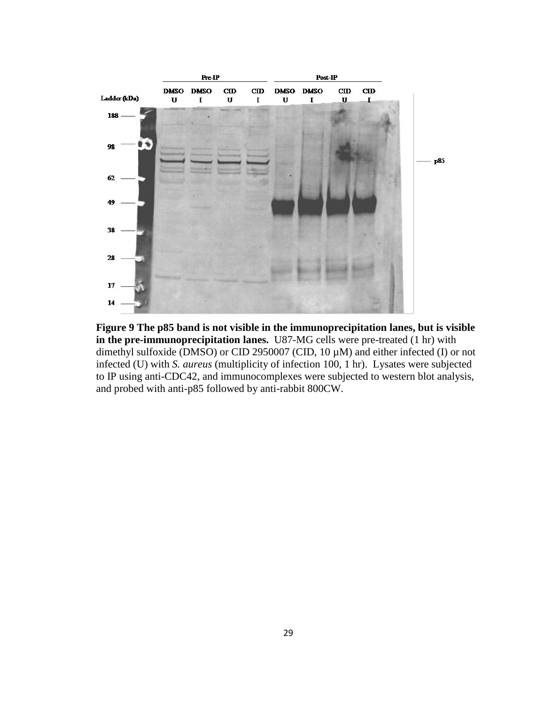

**Figure 9 The p85 band is not visible in the immunoprecipitation lanes, but is visible in the pre-immunoprecipitation lanes.** U87-MG cells were pre-treated (1 hr) with dimethyl sulfoxide (DMSO) or CID 2950007 (CID, 10 µM) and either infected (I) or not infected (U) with *S. aureus* (multiplicity of infection 100, 1 hr). Lysates were subjected to IP using anti-CDC42, and immunocomplexes were subjected to western blot analysis, and probed with anti-p85 followed by anti-rabbit 800CW.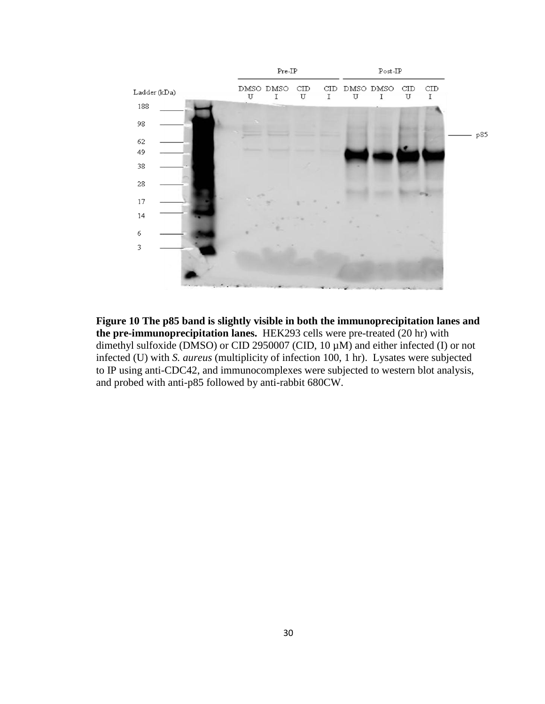

**Figure 10 The p85 band is slightly visible in both the immunoprecipitation lanes and the pre-immunoprecipitation lanes.** HEK293 cells were pre-treated (20 hr) with dimethyl sulfoxide (DMSO) or CID 2950007 (CID, 10 µM) and either infected (I) or not infected (U) with *S. aureus* (multiplicity of infection 100, 1 hr). Lysates were subjected to IP using anti-CDC42, and immunocomplexes were subjected to western blot analysis, and probed with anti-p85 followed by anti-rabbit 680CW.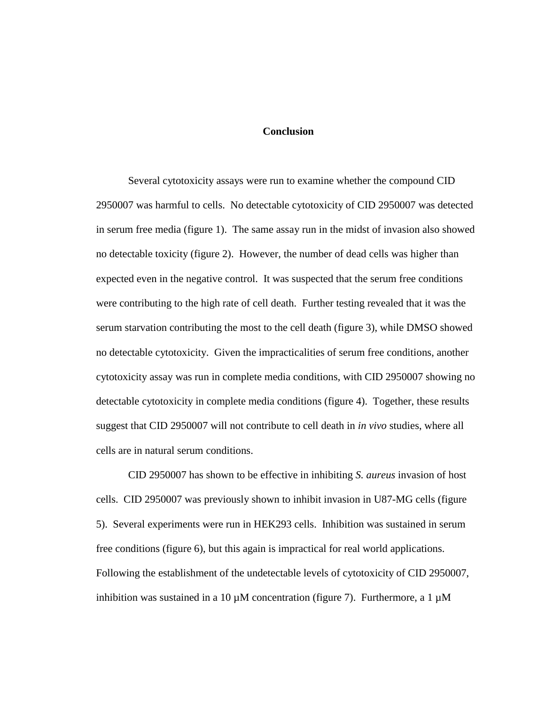#### **Conclusion**

Several cytotoxicity assays were run to examine whether the compound CID 2950007 was harmful to cells. No detectable cytotoxicity of CID 2950007 was detected in serum free media (figure 1). The same assay run in the midst of invasion also showed no detectable toxicity (figure 2). However, the number of dead cells was higher than expected even in the negative control. It was suspected that the serum free conditions were contributing to the high rate of cell death. Further testing revealed that it was the serum starvation contributing the most to the cell death (figure 3), while DMSO showed no detectable cytotoxicity. Given the impracticalities of serum free conditions, another cytotoxicity assay was run in complete media conditions, with CID 2950007 showing no detectable cytotoxicity in complete media conditions (figure 4). Together, these results suggest that CID 2950007 will not contribute to cell death in *in vivo* studies, where all cells are in natural serum conditions.

CID 2950007 has shown to be effective in inhibiting *S. aureus* invasion of host cells. CID 2950007 was previously shown to inhibit invasion in U87-MG cells (figure 5). Several experiments were run in HEK293 cells. Inhibition was sustained in serum free conditions (figure 6), but this again is impractical for real world applications. Following the establishment of the undetectable levels of cytotoxicity of CID 2950007, inhibition was sustained in a 10  $\mu$ M concentration (figure 7). Furthermore, a 1  $\mu$ M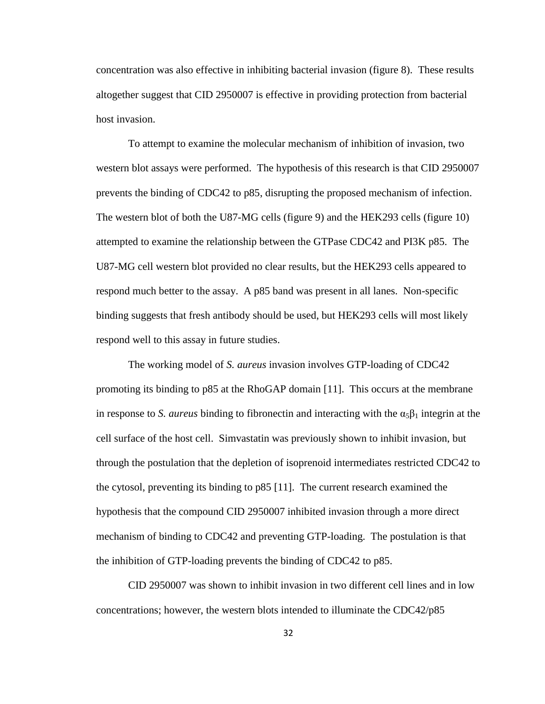concentration was also effective in inhibiting bacterial invasion (figure 8). These results altogether suggest that CID 2950007 is effective in providing protection from bacterial host invasion.

To attempt to examine the molecular mechanism of inhibition of invasion, two western blot assays were performed. The hypothesis of this research is that CID 2950007 prevents the binding of CDC42 to p85, disrupting the proposed mechanism of infection. The western blot of both the U87-MG cells (figure 9) and the HEK293 cells (figure 10) attempted to examine the relationship between the GTPase CDC42 and PI3K p85. The U87-MG cell western blot provided no clear results, but the HEK293 cells appeared to respond much better to the assay. A p85 band was present in all lanes. Non-specific binding suggests that fresh antibody should be used, but HEK293 cells will most likely respond well to this assay in future studies.

The working model of *S. aureus* invasion involves GTP-loading of CDC42 promoting its binding to p85 at the RhoGAP domain [\[11\]](#page-43-1). This occurs at the membrane in response to *S. aureus* binding to fibronectin and interacting with the  $\alpha_5\beta_1$  integrin at the cell surface of the host cell. Simvastatin was previously shown to inhibit invasion, but through the postulation that the depletion of isoprenoid intermediates restricted CDC42 to the cytosol, preventing its binding to p85 [\[11\]](#page-43-1). The current research examined the hypothesis that the compound CID 2950007 inhibited invasion through a more direct mechanism of binding to CDC42 and preventing GTP-loading. The postulation is that the inhibition of GTP-loading prevents the binding of CDC42 to p85.

CID 2950007 was shown to inhibit invasion in two different cell lines and in low concentrations; however, the western blots intended to illuminate the CDC42/p85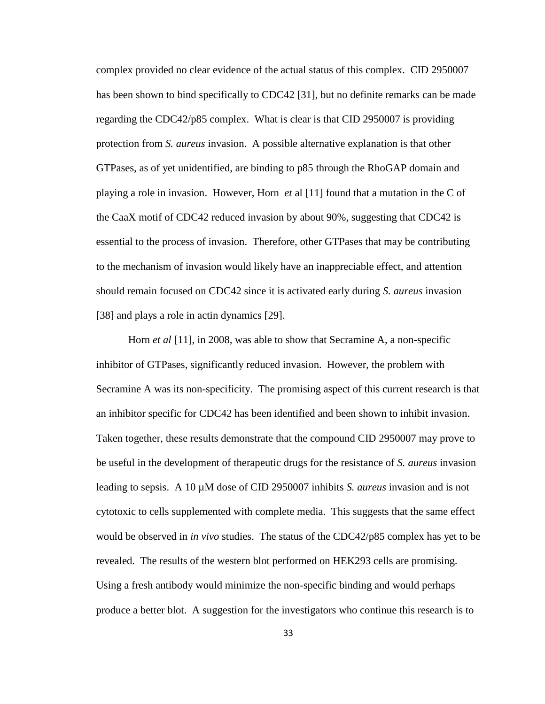complex provided no clear evidence of the actual status of this complex. CID 2950007 has been shown to bind specifically to CDC42 [\[31\]](#page-45-4), but no definite remarks can be made regarding the CDC42/p85 complex. What is clear is that CID 2950007 is providing protection from *S. aureus* invasion. A possible alternative explanation is that other GTPases, as of yet unidentified, are binding to p85 through the RhoGAP domain and playing a role in invasion. However, Horn *et* al [\[11\]](#page-43-1) found that a mutation in the C of the CaaX motif of CDC42 reduced invasion by about 90%, suggesting that CDC42 is essential to the process of invasion. Therefore, other GTPases that may be contributing to the mechanism of invasion would likely have an inappreciable effect, and attention should remain focused on CDC42 since it is activated early during *S. aureus* invasion [\[38\]](#page-46-2) and plays a role in actin dynamics [\[29\]](#page-45-2).

Horn *et al* [\[11\]](#page-43-1), in 2008, was able to show that Secramine A, a non-specific inhibitor of GTPases, significantly reduced invasion. However, the problem with Secramine A was its non-specificity. The promising aspect of this current research is that an inhibitor specific for CDC42 has been identified and been shown to inhibit invasion. Taken together, these results demonstrate that the compound CID 2950007 may prove to be useful in the development of therapeutic drugs for the resistance of *S. aureus* invasion leading to sepsis. A 10 µM dose of CID 2950007 inhibits *S. aureus* invasion and is not cytotoxic to cells supplemented with complete media. This suggests that the same effect would be observed in *in vivo* studies. The status of the CDC42/p85 complex has yet to be revealed. The results of the western blot performed on HEK293 cells are promising. Using a fresh antibody would minimize the non-specific binding and would perhaps produce a better blot. A suggestion for the investigators who continue this research is to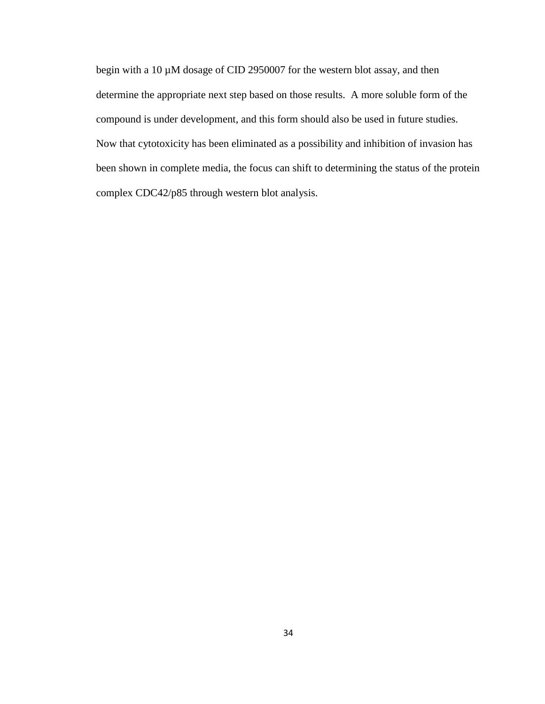begin with a 10 µM dosage of CID 2950007 for the western blot assay, and then determine the appropriate next step based on those results. A more soluble form of the compound is under development, and this form should also be used in future studies. Now that cytotoxicity has been eliminated as a possibility and inhibition of invasion has been shown in complete media, the focus can shift to determining the status of the protein complex CDC42/p85 through western blot analysis.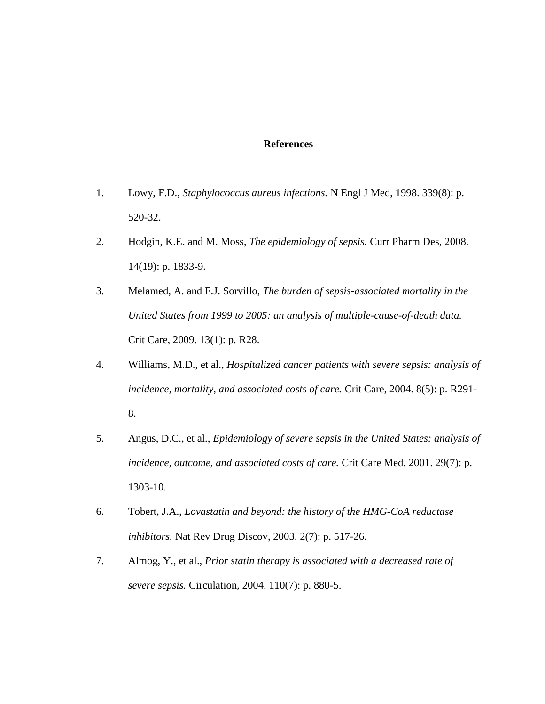#### **References**

- <span id="page-42-0"></span>1. Lowy, F.D., *Staphylococcus aureus infections.* N Engl J Med, 1998. 339(8): p. 520-32.
- <span id="page-42-1"></span>2. Hodgin, K.E. and M. Moss, *The epidemiology of sepsis.* Curr Pharm Des, 2008. 14(19): p. 1833-9.
- <span id="page-42-2"></span>3. Melamed, A. and F.J. Sorvillo, *The burden of sepsis-associated mortality in the United States from 1999 to 2005: an analysis of multiple-cause-of-death data.* Crit Care, 2009. 13(1): p. R28.
- <span id="page-42-3"></span>4. Williams, M.D., et al., *Hospitalized cancer patients with severe sepsis: analysis of incidence, mortality, and associated costs of care.* Crit Care, 2004. 8(5): p. R291- 8.
- <span id="page-42-4"></span>5. Angus, D.C., et al., *Epidemiology of severe sepsis in the United States: analysis of incidence, outcome, and associated costs of care.* Crit Care Med, 2001. 29(7): p. 1303-10.
- <span id="page-42-5"></span>6. Tobert, J.A., *Lovastatin and beyond: the history of the HMG-CoA reductase inhibitors.* Nat Rev Drug Discov, 2003. 2(7): p. 517-26.
- <span id="page-42-6"></span>7. Almog, Y., et al., *Prior statin therapy is associated with a decreased rate of severe sepsis.* Circulation, 2004. 110(7): p. 880-5.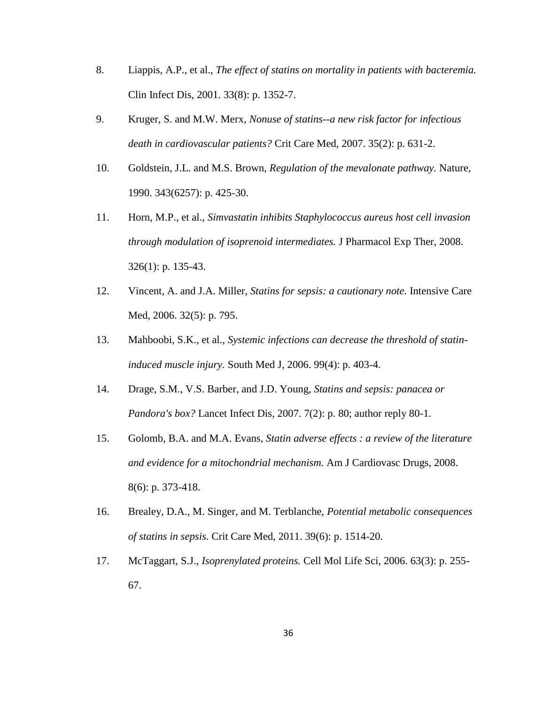- 8. Liappis, A.P., et al., *The effect of statins on mortality in patients with bacteremia.* Clin Infect Dis, 2001. 33(8): p. 1352-7.
- 9. Kruger, S. and M.W. Merx, *Nonuse of statins--a new risk factor for infectious death in cardiovascular patients?* Crit Care Med, 2007. 35(2): p. 631-2.
- <span id="page-43-0"></span>10. Goldstein, J.L. and M.S. Brown, *Regulation of the mevalonate pathway.* Nature, 1990. 343(6257): p. 425-30.
- <span id="page-43-1"></span>11. Horn, M.P., et al., *Simvastatin inhibits Staphylococcus aureus host cell invasion through modulation of isoprenoid intermediates.* J Pharmacol Exp Ther, 2008. 326(1): p. 135-43.
- <span id="page-43-2"></span>12. Vincent, A. and J.A. Miller, *Statins for sepsis: a cautionary note.* Intensive Care Med, 2006. 32(5): p. 795.
- 13. Mahboobi, S.K., et al., *Systemic infections can decrease the threshold of statininduced muscle injury.* South Med J, 2006. 99(4): p. 403-4.
- 14. Drage, S.M., V.S. Barber, and J.D. Young, *Statins and sepsis: panacea or Pandora's box?* Lancet Infect Dis, 2007. 7(2): p. 80; author reply 80-1.
- 15. Golomb, B.A. and M.A. Evans, *Statin adverse effects : a review of the literature and evidence for a mitochondrial mechanism.* Am J Cardiovasc Drugs, 2008. 8(6): p. 373-418.
- <span id="page-43-3"></span>16. Brealey, D.A., M. Singer, and M. Terblanche, *Potential metabolic consequences of statins in sepsis.* Crit Care Med, 2011. 39(6): p. 1514-20.
- <span id="page-43-4"></span>17. McTaggart, S.J., *Isoprenylated proteins.* Cell Mol Life Sci, 2006. 63(3): p. 255- 67.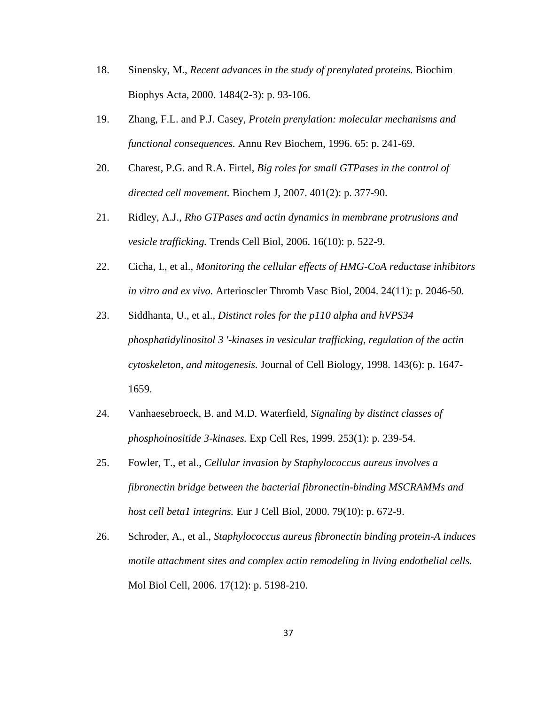- <span id="page-44-0"></span>18. Sinensky, M., *Recent advances in the study of prenylated proteins.* Biochim Biophys Acta, 2000. 1484(2-3): p. 93-106.
- <span id="page-44-1"></span>19. Zhang, F.L. and P.J. Casey, *Protein prenylation: molecular mechanisms and functional consequences.* Annu Rev Biochem, 1996. 65: p. 241-69.
- <span id="page-44-2"></span>20. Charest, P.G. and R.A. Firtel, *Big roles for small GTPases in the control of directed cell movement.* Biochem J, 2007. 401(2): p. 377-90.
- <span id="page-44-3"></span>21. Ridley, A.J., *Rho GTPases and actin dynamics in membrane protrusions and vesicle trafficking.* Trends Cell Biol, 2006. 16(10): p. 522-9.
- <span id="page-44-4"></span>22. Cicha, I., et al., *Monitoring the cellular effects of HMG-CoA reductase inhibitors in vitro and ex vivo.* Arterioscler Thromb Vasc Biol, 2004. 24(11): p. 2046-50.
- <span id="page-44-5"></span>23. Siddhanta, U., et al., *Distinct roles for the p110 alpha and hVPS34 phosphatidylinositol 3 '-kinases in vesicular trafficking, regulation of the actin cytoskeleton, and mitogenesis.* Journal of Cell Biology, 1998. 143(6): p. 1647- 1659.
- <span id="page-44-6"></span>24. Vanhaesebroeck, B. and M.D. Waterfield, *Signaling by distinct classes of phosphoinositide 3-kinases.* Exp Cell Res, 1999. 253(1): p. 239-54.
- <span id="page-44-7"></span>25. Fowler, T., et al., *Cellular invasion by Staphylococcus aureus involves a fibronectin bridge between the bacterial fibronectin-binding MSCRAMMs and host cell beta1 integrins.* Eur J Cell Biol, 2000. 79(10): p. 672-9.
- <span id="page-44-8"></span>26. Schroder, A., et al., *Staphylococcus aureus fibronectin binding protein-A induces motile attachment sites and complex actin remodeling in living endothelial cells.* Mol Biol Cell, 2006. 17(12): p. 5198-210.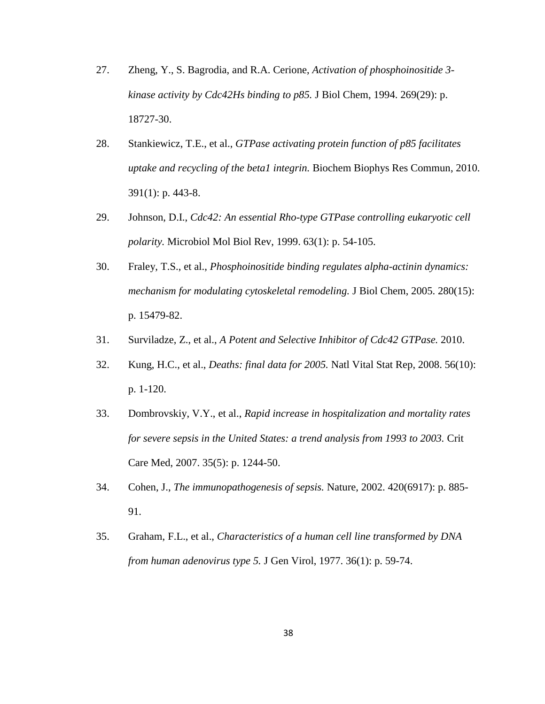- <span id="page-45-0"></span>27. Zheng, Y., S. Bagrodia, and R.A. Cerione, *Activation of phosphoinositide 3 kinase activity by Cdc42Hs binding to p85.* J Biol Chem, 1994. 269(29): p. 18727-30.
- <span id="page-45-1"></span>28. Stankiewicz, T.E., et al., *GTPase activating protein function of p85 facilitates uptake and recycling of the beta1 integrin.* Biochem Biophys Res Commun, 2010. 391(1): p. 443-8.
- <span id="page-45-2"></span>29. Johnson, D.I., *Cdc42: An essential Rho-type GTPase controlling eukaryotic cell polarity.* Microbiol Mol Biol Rev, 1999. 63(1): p. 54-105.
- <span id="page-45-3"></span>30. Fraley, T.S., et al., *Phosphoinositide binding regulates alpha-actinin dynamics: mechanism for modulating cytoskeletal remodeling.* J Biol Chem, 2005. 280(15): p. 15479-82.
- <span id="page-45-4"></span>31. Surviladze, Z., et al., *A Potent and Selective Inhibitor of Cdc42 GTPase.* 2010.
- <span id="page-45-5"></span>32. Kung, H.C., et al., *Deaths: final data for 2005.* Natl Vital Stat Rep, 2008. 56(10): p. 1-120.
- <span id="page-45-6"></span>33. Dombrovskiy, V.Y., et al., *Rapid increase in hospitalization and mortality rates for severe sepsis in the United States: a trend analysis from 1993 to 2003.* Crit Care Med, 2007. 35(5): p. 1244-50.
- <span id="page-45-7"></span>34. Cohen, J., *The immunopathogenesis of sepsis.* Nature, 2002. 420(6917): p. 885- 91.
- <span id="page-45-8"></span>35. Graham, F.L., et al., *Characteristics of a human cell line transformed by DNA from human adenovirus type 5.* J Gen Virol, 1977. 36(1): p. 59-74.